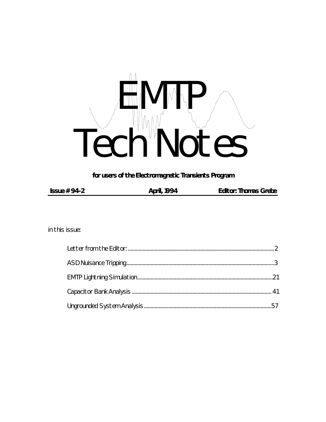

for users of the Electromagnetic Transients Program

in this issue: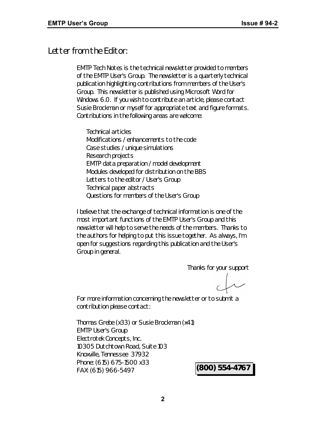# *Letter from the Editor:*

*EMTP Tech Notes* is the technical newsletter provided to members of the EMTP User's Group. The newsletter is a quarterly technical publication highlighting contributions from members of the User's Group. This newsletter is published using Microsoft Word for Windows 6.0. If you wish to contribute an article, please contact Susie Brockman or myself for appropriate text and figure formats. Contributions in the following areas are welcome:

Technical articles Modifications / enhancements to the code Case studies / unique simulations Research projects EMTP data preparation / model development Modules developed for distribution on the BBS Letters to the editor / User's Group Technical paper abstracts Questions for members of the User's Group

I believe that the exchange of technical information is one of the most important functions of the EMTP User's Group and this newsletter will help to serve the needs of the members. Thanks to the authors for helping to put this issue together. As always, I'm open for suggestions regarding this publication and the User's Group in general.

Thanks for your support

For more information concerning the newsletter or to submit a contribution please contact:

Thomas Grebe (x33) or Susie Brockman (x41) EMTP User's Group Electrotek Concepts, Inc. 10305 Dutchtown Road, Suite 103 Knoxville, Tennessee 37932 Phone: (615) 675-1500 x33 FAX: (615) 966-5497 **(800) 554-4767**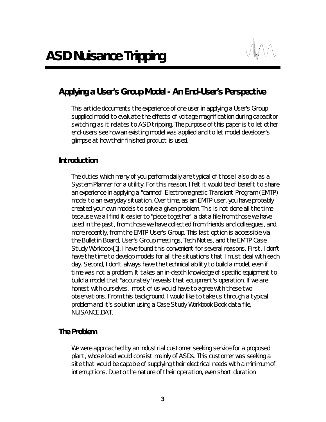

# *Applying a User's Group Model - An End-User's Perspective*

This article documents the experience of one user in applying a User's Group supplied model to evaluate the effects of voltage magnification during capacitor switching as it relates to ASD tripping. The purpose of this paper is to let other end-users see how an existing model was applied and to let model developer's glimpse at how their finished product is used.

#### *Introduction*

The duties which many of you perform daily are typical of those I also do as a System Planner for a utility. For this reason, I felt it would be of benefit to share an experience in applying a "canned" Electromagnetic Transient Program (EMTP) model to an everyday situation. Over time, as an EMTP user, you have probably created your own models to solve a given problem. This is not done all the time because we all find it easier to "piece together" a data file from those we have used in the past, from those we have collected from friends and colleagues, and, more recently, from the EMTP User's Group. This last option is accessible via the Bulletin Board, User's Group meetings, Tech Notes, and the EMTP Case Study Workbook[1]. I have found this convenient for several reasons. First, I don't have the time to develop models for all the situations that I must deal with each day. Second, I don't always have the technical ability to build a model, even if time was not a problem. It takes an in-depth knowledge of specific equipment to build a model that "accurately" reveals that equipment's operation. If we are honest with ourselves, most of us would have to agree with these two observations. From this background, I would like to take us through a typical problem and it's solution using a Case Study Workbook Book data file, NUISANCE.DAT.

#### *The Problem*

We were approached by an industrial customer seeking service for a proposed plant, whose load would consist mainly of ASDs. This customer was seeking a site that would be capable of supplying their electrical needs with a minimum of interruptions. Due to the nature of their operation, even short duration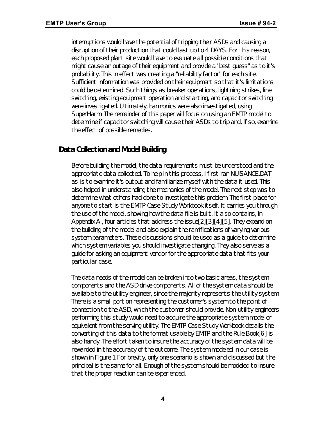interruptions would have the potential of tripping their ASDs and causing a disruption of their production that could last up to 4 DAYS. For this reason, each proposed plant site would have to evaluate all possible conditions that might cause an outage of their equipment and provide a "best guess" as to it's probability. This in effect was creating a "reliability factor" for each site. Sufficient information was provided on their equipment so that it's limitations could be determined. Such things as breaker operations, lightning strikes, line switching, existing equipment operation and starting, and capacitor switching were investigated. Ultimately, harmonics were also investigated, using SuperHarm. The remainder of this paper will focus on using an EMTP model to determine if capacitor switching will cause their ASDs to trip and, if so, examine the effect of possible remedies.

## *Data Collection and Model Building*

Before building the model, the data requirements must be understood and the appropriate data collected. To help in this process, I first ran NUISANCE.DAT as-is to examine it's output and familiarize myself with the data it used. This also helped in understanding the mechanics of the model. The next step was to determine what others had done to investigate this problem. The first place for anyone to start is the EMTP Case Study Workbook itself. It carries you through the use of the model, showing how the data file is built. It also contains, in Appendix A , four articles that address the issue[2][3][4][5]. They expand on the building of the model and also explain the ramifications of varying various system parameters. These discussions should be used as a guide to determine which system variables you should investigate changing. They also serve as a guide for asking an equipment vendor for the appropriate data that fits your particular case.

The data needs of the model can be broken into two basic areas, the system components and the ASD drive components. All of the system data should be available to the utility engineer, since the majority represents the utility system. There is a small portion representing the customer's system to the point of connection to the ASD, which the customer should provide. Non-utility engineers performing this study would need to acquire the appropriate system model or equivalent from the serving utility. The EMTP Case Study Workbook details the converting of this data to the format usable by EMTP and the Rule Book[6] is also handy. The effort taken to insure the accuracy of the system data will be rewarded in the accuracy of the outcome. The system modeled in our case is shown in Figure 1. For brevity, only one scenario is shown and discussed but the principal is the same for all. Enough of the system should be modeled to insure that the proper reaction can be experienced.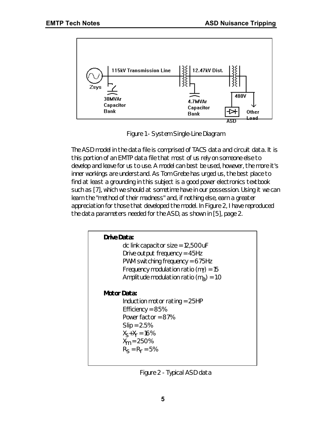

*Figure 1 - System Single-Line Diagram*

The ASD model in the data file is comprised of TACS data and circuit data. It is this portion of an EMTP data file that most of us rely on someone else to develop and leave for us to use. A model can best be used, however, the more it's inner workings are understand. As Tom Grebe has urged us, the best place to find at least a grounding in this subject is a good power electronics textbook such as [7], which we should at sometime have in our possession. Using it we can learn the "method of their madness" and, if nothing else, earn a greater appreciation for those that developed the model. In Figure 2, I have reproduced the data parameters needed for the ASD, as shown in [5], page 2.

| <b>Drive Data:</b><br>dc link capacitor size = $12,500$ uF<br>Drive output frequency = $45Hz$<br>PWM switching frequency = $675Hz$<br>Frequency modulation ratio ( $m_f$ ) = 15<br>Amplitude modulation ratio $(mA) = 1.0$ |
|----------------------------------------------------------------------------------------------------------------------------------------------------------------------------------------------------------------------------|
| Motor Data:<br>Induction motor rating $= 25HP$<br>Efficiency = $85%$<br>Power factor = $87%$<br>$Slip = 2.5%$<br>$X_{S}+X_{r} = 16\%$<br>$X_m = 250\%$<br>$R_s = R_r = 5%$                                                 |

*Figure 2 - Typical ASD data*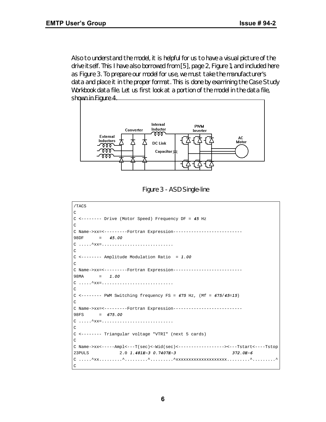Also to understand the model, it is helpful for us to have a visual picture of the drive itself. This I have also borrowed from [5], page 2, Figure 1, and included here as Figure 3. To prepare our model for use, we must take the manufacturer's data and place it in the proper format. This is done by examining the Case Study Workbook data file. Let us first look at a portion of the model in the data file, shown in Figure 4.



*Figure 3 - ASD Single-line*

| /TACS                                                                                        |
|----------------------------------------------------------------------------------------------|
| C                                                                                            |
| $C$ <-------- Drive (Motor Speed) Frequency DF = 45 Hz                                       |
| C                                                                                            |
| C Name->xx=<--------Fortran Expression-----------------------                                |
| $98DF = 45.00$                                                                               |
| $C \ldots \ldots \wedge xx = \ldots \ldots \ldots \ldots \ldots \ldots \ldots \ldots \ldots$ |
| C                                                                                            |
| $C$ <-------- Amplitude Modulation Ratio = 1.00                                              |
| C                                                                                            |
| C Name->xx=<--------Fortran Expression------------------------                               |
| 98MA = $1.00$                                                                                |
| $C \ldots \lambda xx = \ldots \ldots \ldots \ldots \ldots \ldots \ldots \ldots \ldots$       |
| C                                                                                            |
| C <-------- PWM Switching frequency FS = $675$ Hz, (Mf = $675/45=15$ )                       |
| C                                                                                            |
| C Name->xx=<---------Fortran Expression--------------------------                            |
| $98FS = 675.00$                                                                              |
| $C \ldots \ldots \wedge xx = \ldots \ldots \ldots \ldots \ldots \ldots \ldots \ldots \ldots$ |
| C                                                                                            |
| C <-------- Triangular voltage "VTRI" (next 5 cards)                                         |
| C                                                                                            |
| C Name->xx<-----Ampl<---T(sec)<-Wid(sec)<-----------------><---Tstart<----Tstop              |
| 23PULS 23PULS<br>$2.0$ 1.481E-3 0.7407E-3<br>$372.0E - 6$                                    |
|                                                                                              |
| C                                                                                            |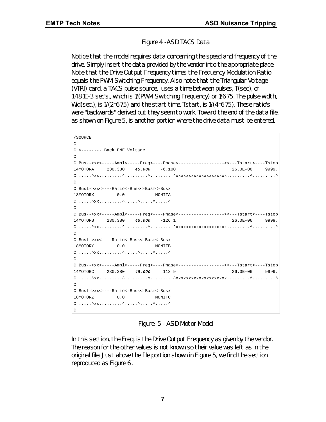#### *Figure 4 -ASD TACS Data*

Notice that the model requires data concerning the speed and frequency of the drive. Simply insert the data provided by the vendor into the appropriate place. Note that the Drive Output Frequency times the Frequency Modulation Ratio equals the PWM Switching Frequency. Also note that the Triangular Voltage (VTRI) card, a TACS pulse source, uses a time between pulses, T(sec), of 1.481E-3 sec's., which is 1/(PWM Switching Frequency) or 1/675. The pulse width, Wid(sec.), is 1/(2\*675) and the start time, Tstart, is 1/(4\*675). These ratio's were "backwards" derived but they seem to work. Toward the end of the data file, as shown on Figure 5, is another portion where the drive data must be entered.

```
/SOURCE
C
C <-------- Back EMF Voltage
\capC Bus-->xx<-----Ampl<-----Freq<----Phase<------------------><---Tstart<----Tstop
14MOTORA 230.380 45.000 -6.100 26.0E-06 9999.
C .....^xx.........^.........^.........^xxxxxxxxxxxxxxxxxxxx.........^.........^
\capC Busl->xx<----Ratio<-Busk<-Busm<-Busx
18MOTORX 0.0 MONITA
C \ldots.^xx........^.....^.....^....^
\GammaC Bus-->xx<-----Ampl<-----Freq<----Phase<------------------><---Tstart<----Tstop
14MOTORB 230.380 45.000 -126.1 26.0E-06 9999.
C .....^xx.........^.........^.........^xxxxxxxxxxxxxxxxxxxx.........^.........^
\GammaC Busl->xx<----Ratio<-Busk<-Busm<-Busx
18MOTORY 0.0 MONITB
C .....^xx.........^.....^.....^.....^
\overline{C}C Bus-->xx<-----Ampl<-----Freq<----Phase<------------------><---Tstart<----Tstop
14MOTORC 230.380 45.000 113.9 26.0E-06 9999.
C .....^xx.........^.........^.........^xxxxxxxxxxxxxxxxxxxx.........^.........^
\capC Busl->xx<----Ratio<-Busk<-Busm<-Busx
18MOTORZ 0.0 MONITC
C \ldots.^xx........^.....^.....^....^
C
```
*Figure 5 - ASD Motor Model*

In this section, the Freq. is the Drive Output Frequency as given by the vendor. The reason for the other values is not known so their value was left as in the original file. Just above the file portion shown in Figure 5, we find the section reproduced as Figure 6.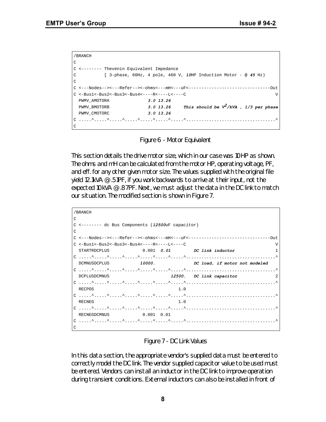```
/BRANCH
C
C <-------- Thevenin Equivalent Impedance
C [ 3-phase, 60Hz, 4 pole, 460 V, 10HP Induction Motor - @ 45 Hz)
\overline{C}C <---Nodes--><---Refer--><-ohms<---mH<---uF<--------------------------------Out
C \leq -Bus1 \leq -Bus2 \leq -Bus3 \leq -Bus4 \leq ---R \leq ---L \leq ---C PWMV_AMOTORA 3.0 13.26
   PWMV_BMOTORB 3.0 13.26 This should be V2/kVA , 1/3 per phase
   PWMV_CMOTORC 3.0 13.26
C_1, \ldots, 2, \ldots, 2, \ldots, 2, \ldots, 2, \ldots, 2, \ldots, 2, \ldots, 2, \ldots, 2, \ldots, 2, \ldots, 2, \ldots, 2, \ldots, 2, \ldots, 2, \ldots, 2, \ldots, 2, \ldots, 2, \ldots, 2, \ldots, 2, \ldots, 2, \ldots, 2, \ldots, 2, \ldots, 2, \ldots, 2, \ldots, 2, \ldots, 2, \ldots, 2, \ldots, 2, \ldots, 2, \ldots, 2, \ldots, 2, \ldots, 2\Gamma
```
*Figure 6 - Motor Equivalent*

This section details the drive motor size, which in our case was 10HP as shown. The ohms and mH can be calculated from the motor HP, operating voltage, PF, and eff. for any other given motor size. The values supplied with the original file yield 12.1kVA @ .51PF, if you work backwards to arrive at their input, not the expected 10kVA @ .87PF. Next, we must adjust the data in the DC link to match our situation. The modified section is shown in Figure 7.

```
/BRANCH
\mathcal{C}C <-------- dc Bus Components (12500uF capacitor)
\mathcal{C}C <---Nodes--><---Refer--><-ohms<---mH<---uF<--------------------------------Out
C <-Bus1<-Bus2<-Bus3<-Bus4<----R<----L<----C V
  STARTRDCPLUS 0.001 0.01 DC link inductor 1
C .....^.....^.....^.....^.....^.....^.....^...................................^
  DCMNUSDCPLUS 10000. DC load, if motor not modeled
C .....^.....^.....^.....^.....^.....^.....^...................................^
  DCPLUSDCMNUS 12500. DC link capacitor 2
C .....^.....^.....^.....^.....^.....^.....^...................................^
 RECPOS 1.0
C .....^.....^.....^.....^.....^.....^.....^...................................^
 RECNEG 1.0
C .....^.....^.....^.....^.....^.....^.....^...................................^
 RECNEGDCMNUS 0.001 0.01
C .....^.....^.....^.....^.....^.....^.....^...................................^
C
```
*Figure 7 - DC Link Values*

In this data section, the appropriate vendor's supplied data must be entered to correctly model the DC link. The vendor supplied capacitor value to be used must be entered. Vendors can install an inductor in the DC link to improve operation during transient conditions. External inductors can also be installed in front of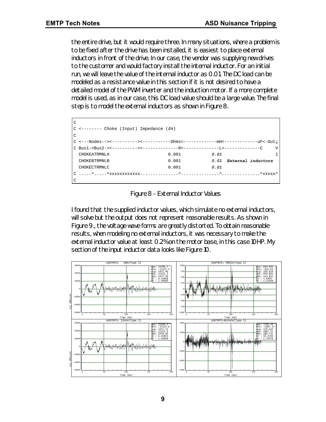the entire drive, but it would require three. In many situations, where a problem is to be fixed after the drive has been installed, it is easiest to place external inductors in front of the drive. In our case, the vendor was supplying new drives to the customer and would factory install the internal inductor. For an initial run, we will leave the value of the internal inductor as 0.01. The DC load can be modeled as a resistance value in this section if it is not desired to have a detailed model of the PWM inverter and the induction motor. If a more complete model is used, as in our case, this DC load value should be a large value. The final step is to model the external inductors as shown in Figure 8.

| $\overline{C}$ |                                                                              |       |                         |   |
|----------------|------------------------------------------------------------------------------|-------|-------------------------|---|
|                | $C \leftarrow \leftarrow \leftarrow \leftarrow$ Choke (Input) Impedance (0%) |       |                         |   |
| $\Gamma$       |                                                                              |       |                         |   |
|                |                                                                              |       |                         |   |
|                |                                                                              |       |                         | v |
|                | CHOKEATRMNLA                                                                 | 0.001 | 0.01                    |   |
|                | CHOKEBTRMNLB                                                                 | 0.001 | 0.01 External inductors |   |
|                | CHOKECTRMNLC                                                                 | 0.001 | 0.01                    |   |
|                |                                                                              |       |                         |   |
| $\overline{C}$ |                                                                              |       |                         |   |

*Figure 8 - External Inductor Values*

I found that the supplied inductor values, which simulate no external inductors, will solve but the output does not represent reasonable results. As shown in Figure 9., the voltage wave forms are greatly distorted. To obtain reasonable results, when modeling no external inductors, it was necessary to make the external inductor value at least 0.2% on the motor base, in this case 10HP. My section of the input inductor data looks like Figure 10.

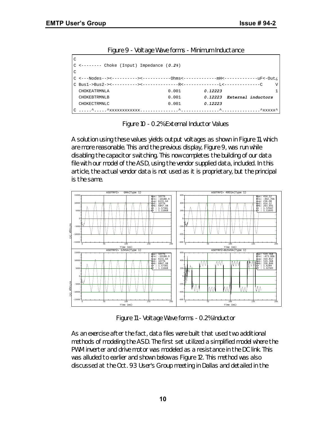| <u>rigare 7 - Voltage Wave Tornis - Minimuali inductance</u> |       |                            |  |
|--------------------------------------------------------------|-------|----------------------------|--|
| C                                                            |       |                            |  |
| $C$ <------- Choke (Input) Impedance $(0.2)$                 |       |                            |  |
| $\mathcal{C}$                                                |       |                            |  |
|                                                              |       |                            |  |
|                                                              |       |                            |  |
| CHOKEATRMNLA                                                 | 0.001 | 0.12223                    |  |
| CHOKEBTRMNLB                                                 | 0.001 | 0.12223 External inductors |  |
| <b>CHOKECTRMNLC</b>                                          | 0.001 | 0.12223                    |  |
|                                                              |       |                            |  |

*Figure 9 - Voltage Wave forms - Minimum Inductance*

*Figure 10 - 0.2% External Inductor Values*

A solution using these values yields output voltages as shown in Figure 11, which are more reasonable. This and the previous display, Figure 9, was run while disabling the capacitor switching. This now completes the building of our data file with our model of the ASD, using the vendor supplied data, included. In this article, the actual vendor data is not used as it is proprietary, but the principal is the same.



*Figure 11 - Voltage Wave forms - 0.2% Inductor*

As an exercise after the fact, data files were built that used two additional methods of modeling the ASD. The first set utilized a simplified model where the PWM inverter and drive motor was modeled as a resistance in the DC link. This was alluded to earlier and shown below as Figure 12. This method was also discussed at the Oct. 93 User's Group meeting in Dallas and detailed in the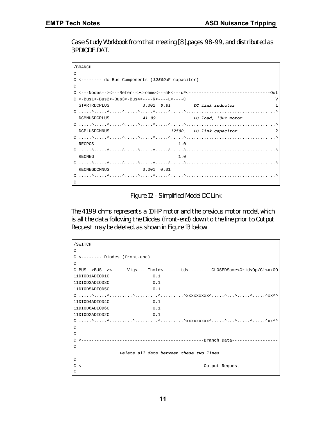Case Study Workbook from that meeting [8],pages 98-99, and distributed as 3PDIODE.DAT.

|               | /BRANCH                                                             |                                   |                          |    |
|---------------|---------------------------------------------------------------------|-----------------------------------|--------------------------|----|
| $\mathcal{C}$ |                                                                     |                                   |                          |    |
|               | C <-------- dc Bus Components (12500uF capacitor)                   |                                   |                          |    |
| C             |                                                                     |                                   |                          |    |
|               |                                                                     |                                   |                          |    |
|               | $C \le -Bus1 < -Bus2 < -Bus3 < -Bus4 < - - - -R < - - - L < - - -C$ |                                   |                          | ΔZ |
|               | STARTRDCPLUS                                                        | $0.001$ $0.01$ $DC$ link inductor |                          |    |
|               |                                                                     |                                   |                          |    |
|               | DCMNUSDCPLUS 41.99 DC load, 10HP motor                              |                                   |                          |    |
|               |                                                                     |                                   |                          |    |
|               | DCPLUSDCMNUS                                                        |                                   | 12500. DC link capacitor | 2  |
|               |                                                                     |                                   |                          |    |
|               | RECPOS                                                              | 1.0                               |                          |    |
|               |                                                                     |                                   |                          |    |
|               | RECNEG                                                              | 1.0                               |                          |    |
|               |                                                                     |                                   |                          |    |
|               | RECNEGDCMNUS 0.001 0.01                                             |                                   |                          |    |
|               |                                                                     |                                   |                          |    |
| C             |                                                                     |                                   |                          |    |

*Figure 12 - Simplified Model DC Link*

The 41.99 ohms represents a 10HP motor and the previous motor model, which is all the data following the Diodes (front-end) down to the line prior to Output Request may be deleted, as shown in Figure 13 below.

| /SWITCH                          |     |                                                                                                        |
|----------------------------------|-----|--------------------------------------------------------------------------------------------------------|
| C                                |     |                                                                                                        |
| $C$ <-------- Diodes (front-end) |     |                                                                                                        |
| $\subset$                        |     |                                                                                                        |
|                                  |     | C BUS-->BUS--><-------Vig<----Ihold<-------td<--------CLOSEDSame <grid<op cl<xxoo<="" td=""></grid<op> |
| 11DIOD1ADIOD1C                   | 0.1 |                                                                                                        |
| 11DIOD3ADIOD3C                   | 0.1 |                                                                                                        |
| 11DIOD5ADIOD5C                   | 0.1 |                                                                                                        |
|                                  |     |                                                                                                        |
| 11DIOD4ADIOD4C                   | 0.1 |                                                                                                        |
| 11DIOD6ADIOD6C                   | 0.1 |                                                                                                        |
| 11DIOD2ADIOD2C                   | 0.1 |                                                                                                        |
|                                  |     |                                                                                                        |
| $\mathcal{C}$                    |     |                                                                                                        |
| $\mathcal{C}$                    |     |                                                                                                        |
|                                  |     |                                                                                                        |
| C                                |     |                                                                                                        |
|                                  |     | Delete all data between these two lines                                                                |
| $\Gamma$                         |     |                                                                                                        |
|                                  |     |                                                                                                        |
| C                                |     |                                                                                                        |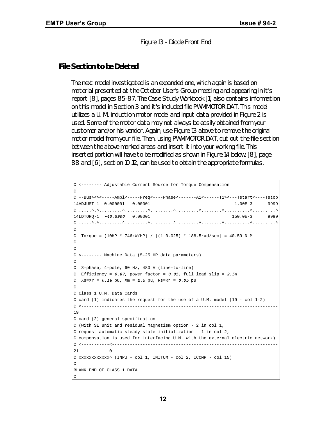*Figure 13 - Diode Front End*

#### *File Section to be Deleted*

The next model investigated is an expanded one, which again is based on material presented at the October User's Group meeting and appearing in it's report [8], pages 85-87. The Case Study Workbook [1] also contains information on this model in Section 3 and it's included file PWMMOTOR.DAT. This model utilizes a U. M. induction motor model and input data provided in Figure 2 is used. Some of the motor data may not always be easily obtained from your customer and/or his vendor. Again, use Figure 13 above to remove the original motor model from your file. Then, using PWMMOTOR.DAT, cut out the file section between the above marked areas and insert it into your working file. This inserted portion will have to be modified as shown in Figure 14 below. [8], page 88 and [6], section 10.12, can be used to obtain the appropriate formulas.

```
C <-------- Adjustable Current Source for Torque Compensation
C
C --Bus><><-----Ampl<-----Freq<----Phase<-------A1<------T1><---Tstart<----Tstop
14ADJUST-1 -0.000001 0.00001 -1.00E-3 9999
C .....^.^.........^.........^.........^.........^........^..........^.........^
14LDTORQ-1 -40.5900 0.00001 150.0E-3 9999
C .....^.^.........^.........^.........^.........^........^..........^.........^
\overline{C}C Torque = (10HP * 746kW/HP) / [(1-0.025) * 188.5rad/sec] = 40.59 N-M
\mathsf C\rm CC <-------- Machine Data (5-25 HP data parameters)
C
C 3-phase, 4-pole, 60 Hz, 480 V (line-to-line)
C Efficiency = 0.87, power factor = 0.85, full load slip = 2.5%
C Xs=Xr = 0.16 pu, Xm = 2.5 pu, Rs=Rr = 0.05 pu
\overline{C}C Class 1 U.M. Data Cards
C card (1) indicates the request for the use of a U.M. model (19 - col 1-2)
C <-----------------------------------------------------------------------------
19
C card (2) general specification
C (with SI unit and residual magnetism option - 2 in col 1,
C request automatic steady-state initialization - 1 in col 2,
C compensation is used for interfacing U.M. with the external electric network)
C <-----------<-----------------------------------------------------------------
21 0
C xxxxxxxxxxxx^ (INPU - col 1, INITUM - col 2, ICOMP - col 15)
C
BLANK END OF CLASS 1 DATA
C
```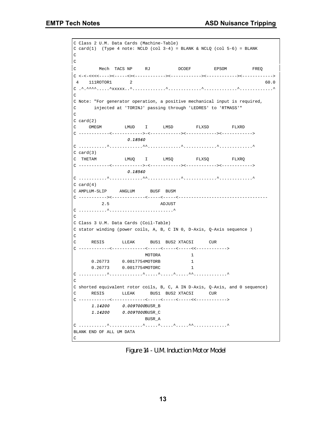C Class 2 U.M. Data Cards (Machine-Table) C card(1) (Type 4 note: NCLD (col  $3-4$ ) = BLANK & NCLQ (col  $5-6$ ) = BLANK  $\rm C$  $\rm C$ C Mech TACS NP RJ DCOEF EPSOM FREQ C <-<-<<<<----><-----<><------------><------------><------------><------------> 4 111ROTOR1 2 60.0 C .^.^^^^.....^xxxxx..^.............^.............^.............^.............^ C C Note: "For generator operation, a positive mechanical input is required, C injected at 'TORINJ' passing through 'LEDRES' to 'RTMASS'" C C card(2) C OMEGM LMUD I LMSD FLXSD FLXRD C ------------<------------>-<------------><------------><------------> *0.18560* C ...........^.............^^.............^.............^.............^ C card(3) C THETAM LMUQ I LMSQ FLXSQ FLXRQ C ------------<------------>-<------------><------------><------------> *0.18560* C ...........^.............^^.............^.............^.............^  $C \, card(4)$ C AMPLUM-SLIP ANGLUM BUSF BUSM C -----------><-------------<-----<-----<----------------------------------- 2.5 ADJUST C ...........^.........................^  $\overline{C}$ C Class 3 U.M. Data Cards (Coil-Table) C stator winding (power coils, A, B, C IN 0, D-Axis, Q-Axis sequence )  $\mathsf C$ C RESIS LLEAK BUS1 BUS2 XTACSI CUR C ------------<-------------<-----<-----<-----<<------------> MOTORA 1 0.26773 0.0017754MOTORB 1 0.26773 0.0017754MOTORC 1 C ...........^.............^.....^.....^.....^^.............^  $\Gamma$ C shorted equivalent rotor coils, B, C, A IN D-Axis, Q-Axis, and 0 sequence) C RESIS LLEAK BUS1 BUS2 XTACSI CUR C ------------<-------------<-----<-----<-----<<------------> *1.14200 0.0097000*BUSR\_B *1.14200 0.0097000*BUSR\_C BUSR\_A C ...........^.............^.....^.....^.....^^.............^ BLANK END OF ALL UM DATA C

*Figure 14 - U.M. Induction Motor Model*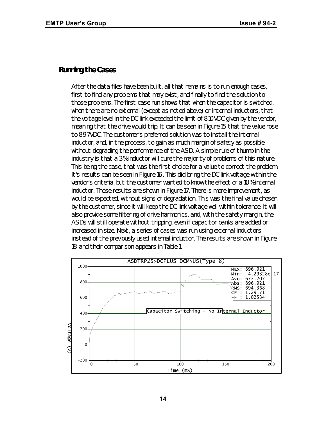#### *Running the Cases*

After the data files have been built, all that remains is to run enough cases, first to find any problems that may exist, and finally to find the solution to those problems. The first case run shows that when the capacitor is switched, when there are no external (except as noted above) or internal inductors, that the voltage level in the DC link exceeded the limit of 810VDC given by the vendor, meaning that the drive would trip. It can be seen in Figure 15 that the value rose to 897VDC. The customer's preferred solution was to install the internal inductor, and, in the process, to gain as much margin of safety as possible without degrading the performance of the ASD. A simple rule of thumb in the industry is that a 3% inductor will cure the majority of problems of this nature. This being the case, that was the first choice for a value to correct the problem. It's results can be seen in Figure 16. This did bring the DC link voltage within the vendor's criteria, but the customer wanted to know the effect of a 10% internal inductor. Those results are shown in Figure 17. There is more improvement, as would be expected, without signs of degradation. This was the final value chosen by the customer, since it will keep the DC link voltage well within tolerance. It will also provide some filtering of drive harmonics, and, with the safety margin, the ASDs will still operate without tripping, even if capacitor banks are added or increased in size. Next, a series of cases was run using external inductors instead of the previously used internal inductor. The results are shown in Figure 18 and their comparison appears in Table 1.

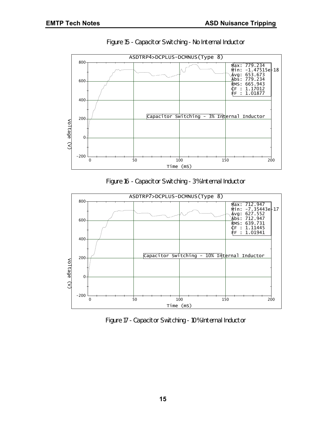

*Figure 15 - Capacitor Switching - No Internal Inductor*





*Figure 17 - Capacitor Switching - 10% Internal Inductor*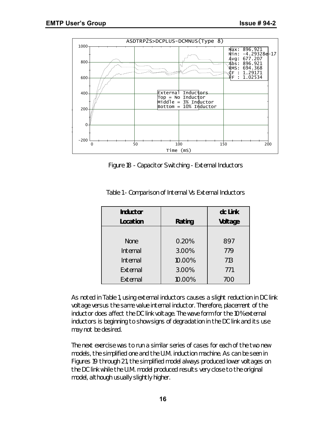

*Figure 18 - Capacitor Switching - External Inductors*

| <b>Inductor</b> |        | dc Link |
|-----------------|--------|---------|
| Location        | Rating | Voltage |
|                 |        |         |
| <b>None</b>     | 0.20%  | 897     |
| Internal        | 3.00%  | 779     |
| Internal        | 10.00% | 713     |
| External        | 3.00%  | 771     |
| External        | 10.00% | 700     |

*Table 1 - Comparison of Internal Vs External Inductors*

As noted in Table 1, using external inductors causes a slight reduction in DC link voltage versus the same value internal inductor. Therefore, placement of the inductor does affect the DC link voltage. The wave form for the 10% external inductors is beginning to show signs of degradation in the DC link and its use may not be desired.

The next exercise was to run a similar series of cases for each of the two new models, the simplified one and the U.M. induction machine. As can be seen in Figures 19 through 21, the simplified model always produced lower voltages on the DC link while the U.M. model produced results very close to the original model, although usually slightly higher.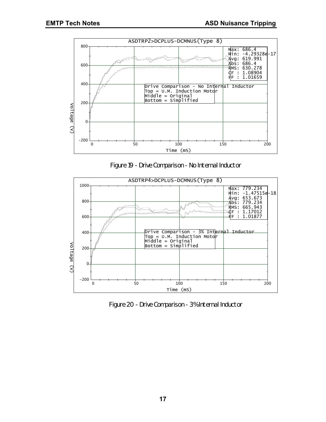

*Figure 19 - Drive Comparison - No Internal Inductor*



*Figure 20 - Drive Comparison - 3% Internal Inductor*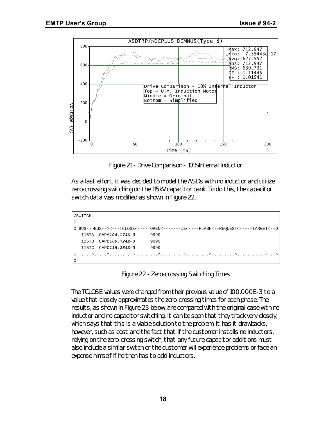

*Figure 21 - Drive Comparison - 10% Internal Inductor*

As a last effort, it was decided to model the ASDs with no inductor and utilize zero-crossing switching on the 115kV capacitor bank. To do this, the capacitor switch data was modified as shown in Figure 22.

| /SWITCH                                                                          |                           |      |  |  |
|----------------------------------------------------------------------------------|---------------------------|------|--|--|
| $\Gamma$                                                                         |                           |      |  |  |
| C_BUS-->BUS--><---TCLOSE<----TOPEN<-------IE<----FLASH<--REOUEST<-----TARGET<--0 |                           |      |  |  |
|                                                                                  | 115TA CAPA104.174E-3 9999 |      |  |  |
|                                                                                  | 115TB CAPB109.724E-3 9999 |      |  |  |
| 115TC CAPC115.284E-3                                                             |                           | 9999 |  |  |
|                                                                                  |                           |      |  |  |
| $\mathsf{C}$                                                                     |                           |      |  |  |

*Figure 22 - Zero-crossing Switching Times*

The TCLOSE values were changed from their previous value of 100.000E-3 to a value that closely approximates the zero-crossing times for each phase. The results, as shown in Figure 23 below, are compared with the original case with no inductor and no capacitor switching. It can be seen that they track very closely, which says that this is a viable solution to the problem. It has it drawbacks, however, such as cost and the fact that if the customer installs no inductors, relying on the zero-crossing switch, that any future capacitor additions must also include a similar switch or the customer will experience problems or face an expense himself if he then has to add inductors.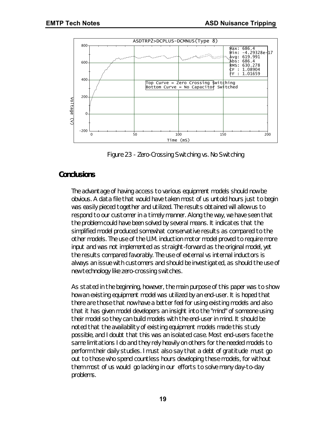

*Figure 23 - Zero-Crossing Switching vs. No Switching*

## *Conclusions*

The advantage of having access to various equipment models should now be obvious. A data file that would have taken most of us untold hours just to begin was easily pieced together and utilized. The results obtained will allow us to respond to our customer in a timely manner. Along the way, we have seen that the problem could have been solved by several means. It indicates that the simplified model produced somewhat conservative results as compared to the other models. The use of the U.M. induction motor model proved to require more input and was not implemented as straight-forward as the original model, yet the results compared favorably. The use of external vs internal inductors is always an issue with customers and should be investigated, as should the use of new technology like zero-crossing switches.

As stated in the beginning, however, the main purpose of this paper was to show how an existing equipment model was utilized by an end-user. It is hoped that there are those that now have a better feel for using existing models and also that it has given model developers an insight into the "mind" of someone using their model so they can build models with the end-user in mind. It should be noted that the availability of existing equipment models made this study possible, and I doubt that this was an isolated case. Most end-users face the same limitations I do and they rely heavily on others for the needed models to perform their daily studies. I must also say that a debt of gratitude must go out to those who spend countless hours developing these models, for without them most of us would go lacking in our efforts to solve many day-to-day problems.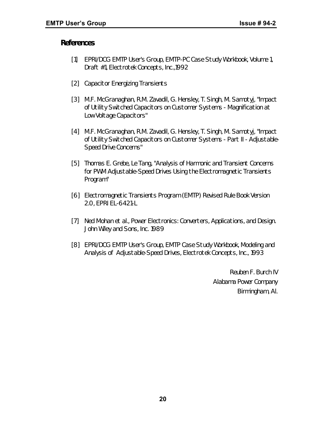#### *References*

- [1] EPRI/DCG EMTP User's Group, EMTP-PC Case Study Workbook, Volume 1, Draft #1, Electrotek Concepts, Inc.,1992
- [2] Capacitor Energizing Transients
- [3] M.F. McGranaghan, R.M. Zavadil, G. Hensley, T. Singh, M. Samotyj, "Impact of Utility Switched Capacitors on Customer Systems - Magnification at Low Voltage Capacitors"
- [4] M.F. McGranaghan, R.M. Zavadil, G. Hensley, T. Singh, M. Samotyj, "Impact of Utility Switched Capacitors on Customer Systems - Part II - Adjustable-Speed Drive Concerns"
- [5] Thomas E. Grebe, Le Tang, "Analysis of Harmonic and Transient Concerns for PWM Adjustable-Speed Drives Using the Electromagnetic Transients Program"
- [6] Electromagnetic Transients Program (EMTP) Revised Rule Book Version 2.0, EPRI EL-6421-L
- [7] Ned Mohan et al., Power Electronics: Converters, Applications, and Design. John Wiley and Sons, Inc. 1989
- [8] EPRI/DCG EMTP User's Group, EMTP Case Study Workbook, Modeling and Analysis of Adjustable-Speed Drives, Electrotek Concepts, Inc., 1993

*Reuben F. Burch IV Alabama Power Company Birmingham, Al.*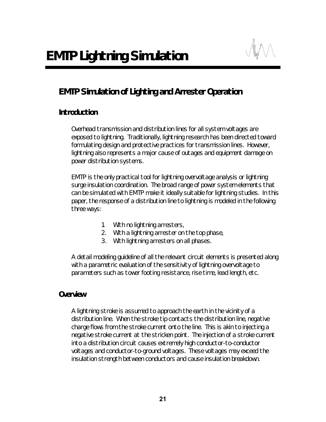# *EMTP Simulation of Lighting and Arrester Operation*

# *Introduction*

Overhead transmission and distribution lines for all system voltages are exposed to lightning. Traditionally, lightning research has been directed toward formulating design and protective practices for transmission lines. However, lightning also represents a major cause of outages and equipment damage on power distribution systems.

EMTP is the only practical tool for lightning overvoltage analysis or lightning surge insulation coordination. The broad range of power system elements that can be simulated with EMTP make it ideally suitable for lightning studies. In this paper, the response of a distribution line to lightning is modeled in the following three ways:

- 1. With no lightning arresters,
- 2. With a lightning arrester on the top phase,
- 3. With lightning arresters on all phases.

A detail modeling guideline of all the relevant circuit elements is presented along with a parametric evaluation of the sensitivity of lightning overvoltage to parameters such as tower footing resistance, rise time, lead length, etc.

#### *Overview*

A lightning stroke is assumed to approach the earth in the vicinity of a distribution line. When the stroke tip contacts the distribution line, negative charge flows from the stroke current onto the line. This is akin to injecting a negative stroke current at the stricken point. The injection of a stroke current into a distribution circuit causes extremely high conductor-to-conductor voltages and conductor-to-ground voltages. These voltages may exceed the insulation strength between conductors and cause insulation breakdown.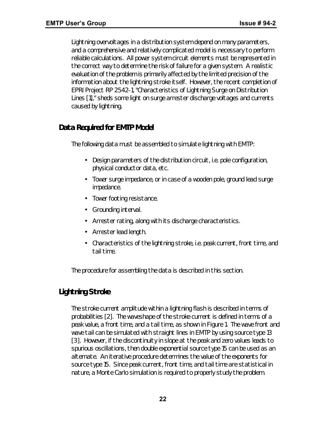Lightning overvoltages in a distribution system depend on many parameters, and a comprehensive and relatively complicated model is necessary to perform reliable calculations. All power system circuit elements must be represented in the correct way to determine the risk of failure for a given system. A realistic evaluation of the problem is primarily affected by the limited precision of the information about the lightning stroke itself. However, the recent completion of EPRI Project RP 2542-1, "Characteristics of Lightning Surge on Distribution Lines [1]," sheds some light on surge arrester discharge voltages and currents caused by lightning.

# *Data Required for EMTP Model*

The following data must be assembled to simulate lightning with EMTP:

- Design parameters of the distribution circuit, i.e. pole configuration, physical conductor data, etc.
- Tower surge impedance, or in case of a wooden pole, ground lead surge impedance.
- Tower footing resistance.
- Grounding interval.
- Arrester rating, along with its discharge characteristics.
- Arrester lead length.
- Characteristics of the lightning stroke, i.e. peak current, front time, and tail time.

The procedure for assembling the data is described in this section.

# *Lightning Stroke*

The stroke current amplitude within a lightning flash is described in terms of probabilities [2]. The waveshape of the stroke current is defined in terms of a peak value, a front time, and a tail time, as shown in Figure 1. The wave front and wave tail can be simulated with straight lines in EMTP by using source type 13 [3]. However, if the discontinuity in slope at the peak and zero values leads to spurious oscillations, then double exponential source type 15 can be used as an alternate. An iterative procedure determines the value of the exponents for source type 15. Since peak current, front time, and tail time are statistical in nature, a Monte Carlo simulation is required to properly study the problem.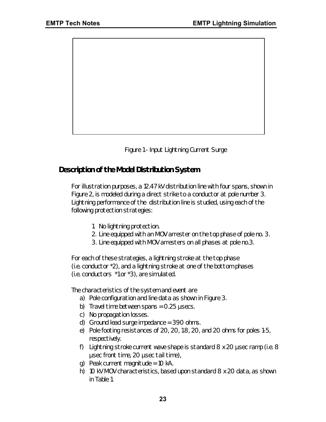

*Figure 1 - Input Lightning Current Surge*

# *Description of the Model Distribution System*

For illustration purposes, a 12.47 kV distribution line with four spans, shown in Figure 2, is modeled during a direct strike to a conductor at pole number 3. Lightning performance of the distribution line is studied, using each of the following protection strategies:

- 1. No lightning protection.
- 2. Line equipped with an MOV arrester on the top phase of pole no. 3.
- 3. Line equipped with MOV arresters on all phases at pole no.3.

For each of these strategies, a lightning stroke at the top phase (i.e. conductor \*2), and a lightning stroke at one of the bottom phases (i.e. conductors \*1 or \*3), are simulated.

The characteristics of the system and event are

- a) Pole configuration and line data as shown in Figure 3.
- b) Travel time between spans =  $0.25$  usecs.
- c) No propagation losses.
- d) Ground lead surge impedance = 390 ohms.
- e) Pole footing resistances of 20, 20, 1.8, 20, and 20 ohms for poles 1-5, respectively.
- f) Lightning stroke current wave shape is standard  $8 \times 20$  usec ramp (i.e.  $8$ μsec front time, 20 μsec tail time),
- q) Peak current magnitude =  $10 \text{ kA}$ .
- h) 10 kV MOV characteristics, based upon standard 8 x 20 data, as shown in Table 1.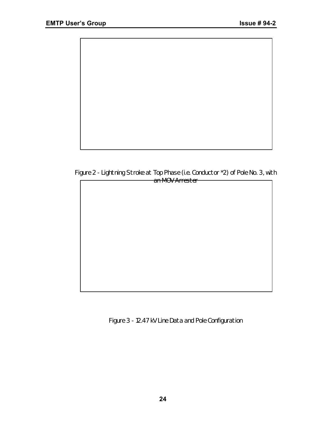

*Figure 2 - Lightning Stroke at Top Phase (i.e. Conductor \*2) of Pole No. 3, with an MOV Arrester*



*Figure 3 - 12.47 kV Line Data and Pole Configuration*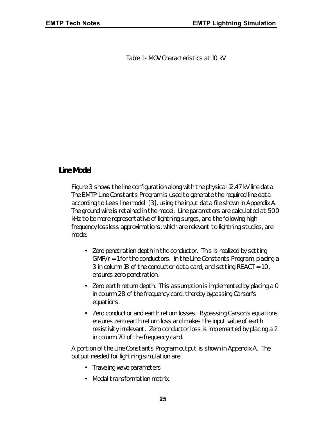*Table 1 - MOV Characteristics at 10 kV*

#### *Line Model*

Figure 3 shows the line configuration along with the physical 12.47 kV line data. The EMTP Line Constants Program is used to generate the required line data according to Lee's line model [3], using the input data file shown in Appendix A. The ground wire is retained in the model. Line parameters are calculated at 500 kHz to be more representative of lightning surges, and the following high frequency lossless approximations, which are relevant to lightning studies, are made:

- Zero penetration depth in the conductor. This is realized by setting GMR/r = 1 for the conductors. In the Line Constants Program, placing a 3 in column 18 of the conductor data card, and setting REACT = 1.0, ensures zero penetration.
- Zero earth return depth. This assumption is implemented by placing a 0 in column 28 of the frequency card, thereby bypassing Carson's equations.
- Zero conductor and earth return losses. Bypassing Carson's equations ensures zero earth return loss and makes the input value of earth resistivity irrelevant. Zero conductor loss is implemented by placing a 2 in column 70 of the frequency card.

A portion of the Line Constants Program output is shown in Appendix A. The output needed for lightning simulation are

- Traveling wave parameters
- Modal transformation matrix.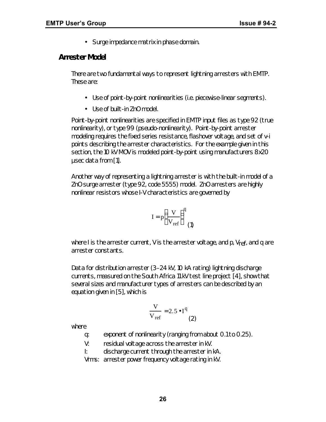• Surge impedance matrix in phase domain.

### *Arrester Model*

There are two fundamental ways to represent lightning arresters with EMTP. These are:

- Use of point-by-point nonlinearities (i.e. piecewise-linear segments).
- Use of built-in ZnO model.

Point-by-point nonlinearities are specified in EMTP input files as type 92 (true nonlinearity), or type 99 (pseudo-nonlinearity). Point-by-point arrester modeling requires the fixed series resistance, flashover voltage, and set of v-i points describing the arrester characteristics. For the example given in this section, the 10 kV MOV is modeled point-by-point using manufacturers 8x20 μsec data from [1].

Another way of representing a lightning arrester is with the built-in model of a ZnO surge arrester (type 92, code 5555) model. ZnO arresters are highly nonlinear resistors whose I-V characteristics are governed by

$$
I = p \left( \frac{V}{V_{ref}} \right)^{q}
$$
 (1)

where I is the arrester current, V is the arrester voltage, and  $p$ ,  $V_{ref}$ , and q are arrester constants.

Data for distribution arrester (3–24 kV, 10 kA rating) lightning discharge currents, measured on the South Africa 11 kV test line project [4], show that several sizes and manufacturer types of arresters can be described by an equation given in [5], which is

$$
\frac{V}{V_{ref}} = 2.5 \cdot I^q
$$
 (2)

where

- q: exponent of nonlinearity (ranging from about 0.1 to 0.25).
- V: residual voltage across the arrester in kV.
- I: discharge current through the arrester in kA.

Vrms: arrester power frequency voltage rating in kV.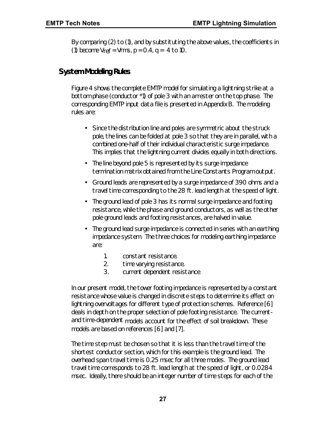By comparing (2) to (1), and by substituting the above values, the coefficients in (1) become  $V_{\text{ref}} = V_{\text{rms}}$ ,  $p = 0.4$ ,  $q = 4$  to 10.

# *System Modeling Rules*

Figure 4 shows the complete EMTP model for simulating a lightning strike at a bottom phase (conductor \*1) of pole 3 with an arrester on the top phase. The corresponding EMTP input data file is presented in Appendix B. The modeling rules are:

- Since the distribution line and poles are symmetric about the struck pole, the lines can be folded at pole 3 so that they are in parallel, with a combined one-half of their individual characteristic surge impedance. This implies that the lightning current divides equally in both directions.
- The line beyond pole 5 is represented by its surge impedance termination matrix obtained from the Line Constants Program output.
- Ground leads are represented by a surge impedance of 390 ohms and a travel time corresponding to the 28 ft. lead length at the speed of light.
- The ground lead of pole 3 has its normal surge impedance and footing resistance, while the phase and ground conductors, as well as the other pole ground leads and footing resistances, are halved in value.
- The ground lead surge impedance is connected in series with an earthing impedance system. The three choices for modeling earthing impedance are:
	- 1. constant resistance.
	- 2. time varying resistance.
	- 3. current dependent resistance.

In our present model, the tower footing impedance is represented by a constant resistance whose value is changed in discrete steps to determine its effect on lightning overvoltages for different type of protection schemes. Reference [6] deals in depth on the proper selection of pole footing resistance. The currentand time-dependent models account for the effect of soil breakdown. These models are based on references [6] and [7].

The time step must be chosen so that it is less than the travel time of the shortest conductor section, which for this example is the ground lead. The overhead span travel time is 0.25 msec for all three modes. The ground lead travel time corresponds to 28 ft. lead length at the speed of light, or 0.0284 msec. Ideally, there should be an integer number of time steps for each of the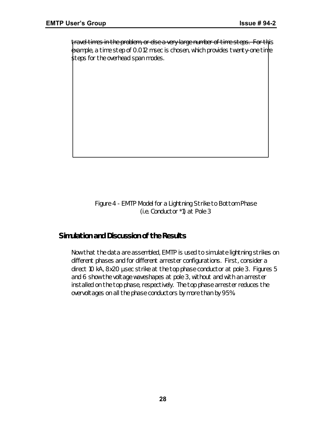travel times in the problem, or else a very large number of time steps. For this example, a time step of 0.012 msec is chosen, which provides twenty-one time steps for the overhead span modes.

> *Figure 4 - EMTP Model for a Lightning Strike to Bottom Phase (i.e. Conductor \*1) at Pole 3*

#### *Simulation and Discussion of the Results*

Now that the data are assembled, EMTP is used to simulate lightning strikes on different phases and for different arrester configurations. First, consider a direct 10 kA, 8x20 μsec strike at the top phase conductor at pole 3. Figures 5 and 6 show the voltage waveshapes at pole 3, without and with an arrester installed on the top phase, respectively. The top phase arrester reduces the overvoltages on all the phase conductors by more than by 95%.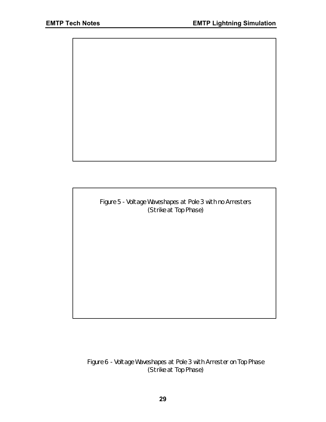*Figure 5 - Voltage Waveshapes at Pole 3 with no Arresters (Strike at Top Phase)*

*Figure 6 - Voltage Waveshapes at Pole 3 with Arrester on Top Phase (Strike at Top Phase)*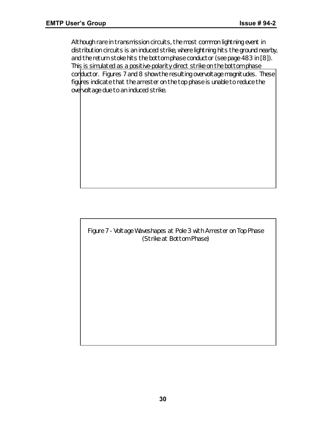Although rare in transmission circuits, the most common lightning event in distribution circuits is an induced strike, where lightning hits the ground nearby, and the return stoke hits the bottom phase conductor (see page 483 in [8]). This is simulated as a positive-polarity direct strike on the bottom phase conductor. Figures 7 and 8 show the resulting overvoltage magnitudes. These figures indicate that the arrester on the top phase is unable to reduce the overvoltage due to an induced strike.

*Figure 7 - Voltage Waveshapes at Pole 3 with Arrester on Top Phase (Strike at Bottom Phase)*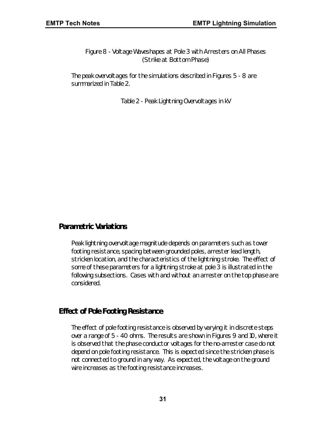*Figure 8 - Voltage Waveshapes at Pole 3 with Arresters on All Phases (Strike at Bottom Phase)*

The peak overvoltages for the simulations described in Figures 5 - 8 are summarized in Table 2.

*Table 2 - Peak Lightning Overvoltages in kV*

#### *Parametric Variations*

Peak lightning overvoltage magnitude depends on parameters such as tower footing resistance, spacing between grounded poles, arrester lead length, stricken location, and the characteristics of the lightning stroke. The effect of some of these parameters for a lightning stroke at pole 3 is illustrated in the following subsections. Cases with and without an arrester on the top phase are considered.

#### *Effect of Pole Footing Resistance*

The effect of pole footing resistance is observed by varying it in discrete steps over a range of 5 - 40 ohms. The results are shown in Figures 9 and 10, where it is observed that the phase conductor voltages for the no-arrester case do not depend on pole footing resistance. This is expected since the stricken phase is not connected to ground in any way. As expected, the voltage on the ground wire increases as the footing resistance increases.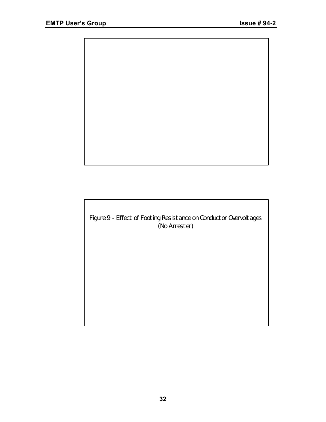

*Figure 9 - Effect of Footing Resistance on Conductor Overvoltages (No Arrester)*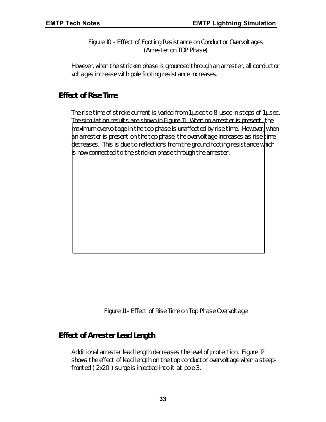*Figure 10 - Effect of Footing Resistance on Conductor Overvoltages (Arrester on TOP Phase)*

However, when the stricken phase is grounded through an arrester, all conductor voltages increase with pole footing resistance increases.

# *Effect of Rise Time*

The rise time of stroke current is varied from 1 μsec to 8 μsec in steps of 1 μsec. The simulation results are shown in Figure 11. When no arrester is present, the maximum overvoltage in the top phase is unaffected by rise time. However, when  $\phi$  an arrester is present on the top phase, the overvoltage increases as rise time decreases. This is due to reflections from the ground footing resistance which is now connected to the stricken phase through the arrester.

*Figure 11 - Effect of Rise Time on Top Phase Overvoltage*

#### *Effect of Arrester Lead Length*

Additional arrester lead length decreases the level of protection. Figure 12 shows the effect of lead length on the top conductor overvoltage when a steepfronted ( 2x20 ) surge is injected into it at pole 3.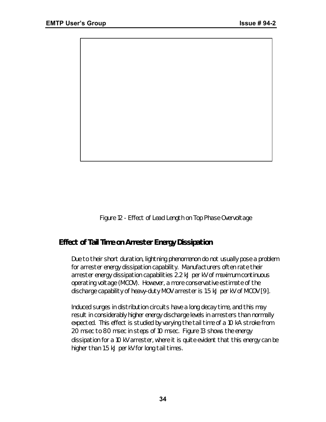

*Figure 12 - Effect of Lead Length on Top Phase Overvoltage*

# *Effect of Tail Time on Arrester Energy Dissipation*

Due to their short duration, lightning phenomenon do not usually pose a problem for arrester energy dissipation capability. Manufacturers often rate their arrester energy dissipation capabilities 2.2 kJ per kV of maximum continuous operating voltage (MCOV). However, a more conservative estimate of the discharge capability of heavy-duty MOV arrester is 1.5 kJ per kV of MCOV [9].

Induced surges in distribution circuits have a long decay time, and this may result in considerably higher energy discharge levels in arresters than normally expected. This effect is studied by varying the tail time of a 10 kA stroke from 20 msec to 80 msec in steps of 10 msec. Figure 13 shows the energy dissipation for a 10 kV arrester, where it is quite evident that this energy can be higher than 1.5 kJ per kV for long tail times.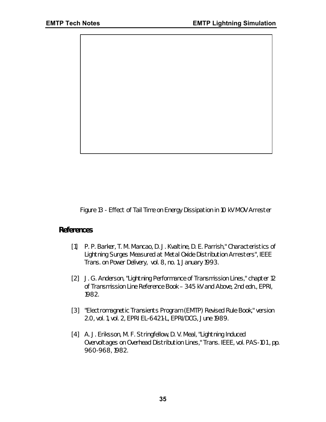

*Figure 13 - Effect of Tail Time on Energy Dissipation in 10 kV MOV Arrester*

#### *References*

- [1] P. P. Barker, T. M. Mancao, D. J. Kvaltine, D. E. Parrish," Characteristics of Lightning Surges Measured at Metal Oxide Distribution Arresters", *IEEE Trans. on Power Delivery,* vol. 8, no. 1, January 1993.
- [2] J. G. Anderson, "Lightning Performance of Transmission Lines," chapter 12 of *Transmission Line Reference Book – 345 kV and Above*, 2nd edn., EPRI, 1982.
- [3] "Electromagnetic Transients Program (EMTP) Revised Rule Book," version 2.0, vol. 1, vol. 2, EPRI EL-6421-L, EPRI/DCG, June 1989.
- [4] A. J. Eriksson, M. F. Stringfellow, D. V. Meal, "Lightning Induced Overvoltages on Overhead Distribution Lines," *Trans. IEEE*, vol. PAS-101 , pp. 960-968, 1982.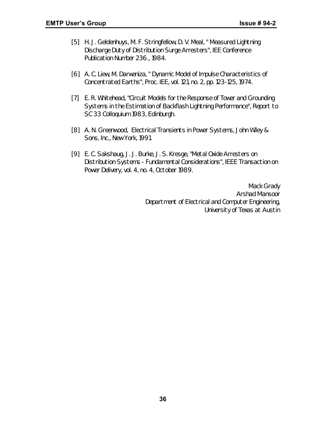- [5] H. J. Geldenhuys, M. F. Stringfellow, D. V. Meal, " Measured Lightning Discharge Duty of Distribution Surge Arresters", *IEE Conference Publication Number 236.*, 1984.
- [6] A. C. Liew, M. Darweniza, " Dynamic Model of Impulse Characteristics of Concentrated Earths", *Proc. IEE*, vol. 121, no. 2, pp. 123-125, 1974.
- [7] E. R. Whitehead, "Circuit Models for the Response of Tower and Grounding Systems in the Estimation of Backflash Lightning Performance", *Report to SC 33 Colloquium 1983*, Edinburgh.
- [8] A. N. Greenwood, *Electrical Transients in Power Systems,* John Wiley & Sons, Inc., New York, 1991.
- [9] E. C. Sakshaug, J. J. Burke, J. S. Kresge, "Metal Oxide Arresters on Distribution Systems - Fundamental Considerations", *IEEE Transaction on Power Delivery*, vol. 4, no. 4, October 1989.

*Mack Grady Arshad Mansoor Department of Electrical and Computer Engineering, University of Texas at Austin*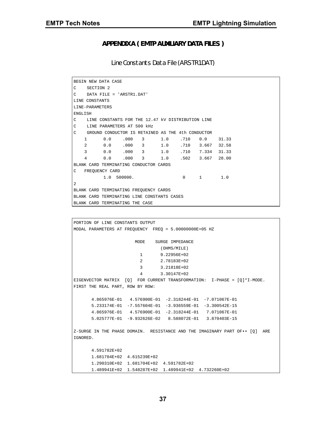#### **APPENDIX A ( EMTP AUXILIARY DATA FILES )**

Line Constants Data File (ARSTR1.DAT)

```
BEGIN NEW DATA CASE
C SECTION 2
C DATA FILE = 'ARSTR1.DAT'
LINE CONSTANTS
LINE-PARAMETERS
ENGLISH
C LINE CONSTANTS FOR THE 12.47 kV DISTRIBUTION LINE
C LINE PARAMETERS AT 500 kHz
C GROUND CONDUCTOR IS RETAINED AS THE 4th CONDUCTOR
   1 0.0 .000 3 1.0 .710 0.0 31.33
   2 0.0 .000 3 1.0 .710 3.667 32.58
   3 0.0 .000 3 1.0 .710 7.334 31.33
   4 0.0 .000 3 1.0 .502 3.667 28.00
BLANK CARD TERMINATING CONDUCTOR CARDS
C FREQUENCY CARD
         1.0 500000. 0 1 1.0
\overline{2}BLANK CARD TERMINATING FREQUENCY CARDS
BLANK CARD TERMINATING LINE CONSTANTS CASES
BLANK CARD TERMINATING THE CASE
```

```
PORTION OF LINE CONSTANTS OUTPUT
MODAL PARAMETERS AT FREQUENCY FREQ = 5.00000000E+05 HZ
                       MODE SURGE IMPEDANCE
                                (OHMS/MILE)
                         1 9.22956E+02
                          2 2.78183E+02
                         3 3.21818E+02
                          4 3.30147E+02
EIGENVECTOR MATRIX [Q] FOR CURRENT TRANSFORMATION: I-PHASE = [Q]*I-MODE.
FIRST THE REAL PART, ROW BY ROW:
       4.865976E-01 4.576900E-01 -2.318244E-01 -7.071067E-01
       5.233174E-01 -7.557604E-01 -3.936559E-01 -3.300542E-15
       4.865976E-01 4.576900E-01 -2.318244E-01 7.071067E-01
       5.025777E-01 -9.932626E-02 8.588072E-01 3.870403E-15
Z-SURGE IN THE PHASE DOMAIN. RESISTANCE AND THE IMAGINARY PART OF•• [Q] ARE
IGNORED.
       4.591782E+02
       1.681704E+02 4.615239E+02
       1.290310E+02 1.681704E+02 4.591782E+02
       1.489941E+02 1.548287E+02 1.489941E+02 4.732260E+02
```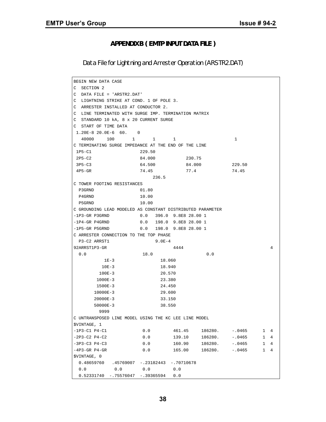#### **APPENDIX B ( EMTP INPUT DATA FILE )**

Data File for Lightning and Arrester Operation (ARSTR2.DAT)

| BEGIN NEW DATA CASE                                        |                           |              |         |          |              |                |  |
|------------------------------------------------------------|---------------------------|--------------|---------|----------|--------------|----------------|--|
| C<br>SECTION 2                                             |                           |              |         |          |              |                |  |
| C<br>DATA FILE = 'ARSTR2.DAT'                              |                           |              |         |          |              |                |  |
| LIGHTNING STRIKE AT COND. 1 OF POLE 3.<br>C                |                           |              |         |          |              |                |  |
| C<br>ARRESTER INSTALLED AT CONDUCTOR 2.                    |                           |              |         |          |              |                |  |
| C<br>LINE TERMINATED WITH SURGE IMP. TERMINATION MATRIX    |                           |              |         |          |              |                |  |
| STANDARD 10 kA, 8 x 20 CURRENT SURGE<br>С                  |                           |              |         |          |              |                |  |
| C<br>START OF TIME DATA                                    |                           |              |         |          |              |                |  |
| $1.20E-8 20.0E-6 60.0$                                     |                           |              |         |          |              |                |  |
| 40000<br>100                                               | $\mathbf{1}$<br>1         | 1            |         | 1        |              |                |  |
| C TERMINATING SURGE IMPEDANCE AT THE END OF THE LINE       |                           |              |         |          |              |                |  |
| $1P5-C1$                                                   | 229.50                    |              |         |          |              |                |  |
| $2P5-C2$                                                   | 84.000                    | 230.75       |         |          |              |                |  |
| $3P5-C3$                                                   | 64.500                    | 84.000       |         | 229.50   |              |                |  |
| $4P5 - GR$                                                 | 74.45                     | 77.4         |         | 74.45    |              |                |  |
|                                                            | 236.5                     |              |         |          |              |                |  |
| C TOWER FOOTING RESISTANCES                                |                           |              |         |          |              |                |  |
| P3GRND                                                     | 01.80                     |              |         |          |              |                |  |
| P4GRND                                                     | 10.00                     |              |         |          |              |                |  |
| P5GRND                                                     | 10.00                     |              |         |          |              |                |  |
| C GROUNDING LEAD MODELED AS CONSTANT DISTRIBUTED PARAMETER |                           |              |         |          |              |                |  |
| $-1P3-GR$ P3GRND                                           | $0.0$ 396.0 9.8E8 28.00 1 |              |         |          |              |                |  |
| $-1P4$ -GR P4GRND                                          | 0.0 198.0 9.8E8 28.00 1   |              |         |          |              |                |  |
| -1P5-GR P5GRND                                             | 0.0 198.0 9.8E8 28.00 1   |              |         |          |              |                |  |
| C ARRESTER CONNECTION TO THE TOP PHASE                     |                           |              |         |          |              |                |  |
| P3-C2 ARRST1                                               | $9.0E-4$                  |              |         |          |              |                |  |
| 92ARRST1P3-GR                                              |                           | 4444         |         |          |              | 4              |  |
| 0.0                                                        | 18.0                      |              | 0.0     |          |              |                |  |
| 1E-3                                                       | 18.060                    |              |         |          |              |                |  |
| $10E-3$                                                    | 18.940                    |              |         |          |              |                |  |
| $100E - 3$                                                 | 20.570                    |              |         |          |              |                |  |
| $1000E - 3$                                                | 23.380                    |              |         |          |              |                |  |
| 1500E-3                                                    | 24.450                    |              |         |          |              |                |  |
| 10000E-3                                                   | 29.600                    |              |         |          |              |                |  |
| $20000E-3$                                                 | 33.150                    |              |         |          |              |                |  |
| $50000E-3$                                                 | 38.550                    |              |         |          |              |                |  |
| 9999                                                       |                           |              |         |          |              |                |  |
| C UNTRANSPOSED LINE MODEL USING THE KC LEE LINE MODEL      |                           |              |         |          |              |                |  |
| \$VINTAGE, 1                                               |                           |              |         |          |              |                |  |
| -1P3-C1 P4-C1                                              | 0.0                       | 461.45       | 186280. | $-.0465$ | 1            | 4              |  |
| -2P3-C2 P4-C2                                              | 0.0                       | 139.10       | 186280. | $-.0465$ | $\mathbf{1}$ | 4              |  |
| -3P3-C3 P4-C3                                              | 0.0                       | 160.90       | 186280. | $-.0465$ | $\mathbf{1}$ | $\overline{4}$ |  |
| $-4P3-GR$ $P4-GR$                                          | 0.0                       | 165.00       | 186280. | $-.0465$ | $\mathbf{1}$ | 4              |  |
| <b>\$VINTAGE, 0</b>                                        |                           |              |         |          |              |                |  |
| 0.48659760<br>.45769007                                    | -.23182443                | $-.70710678$ |         |          |              |                |  |
| 0.0<br>0.0                                                 | 0.0                       | 0.0          |         |          |              |                |  |
| 0.52331740<br>-.75576047                                   | $-.39365594$              | 0.0          |         |          |              |                |  |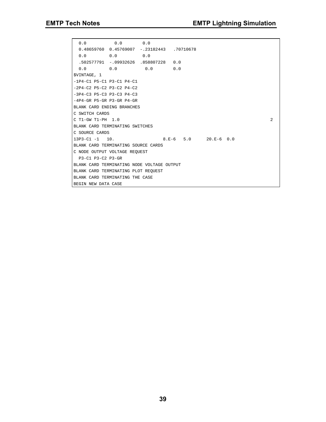```
 0.0 0.0 0.0
  0.48659760 0.45769007 -.23182443 .70710678
  0.0 0.0 0.0
  .502577791 -.09932626 .858807228 0.0
  0.0 0.0 0.0 0.0
$VINTAGE, 1
-1P4-C1 P5-C1 P3-C1 P4-C1
-2P4-C2 P5-C2 P3-C2 P4-C2
-3P4-C3 P5-C3 P3-C3 P4-C3
-4P4-GR P5-GR P3-GR P4-GR
BLANK CARD ENDING BRANCHES
C SWITCH CARDS
C T1-GW T1-PH 1.0 2
BLANK CARD TERMINATING SWITCHES
C SOURCE CARDS
13P3-C1 -1 10. 8.E-6 5.0 20.E-6 0.0
BLANK CARD TERMINATING SOURCE CARDS
C NODE OUTPUT VOLTAGE REQUEST
 P3-C1 P3-C2 P3-GR
BLANK CARD TERMINATING NODE VOLTAGE OUTPUT
BLANK CARD TERMINATING PLOT REQUEST
BLANK CARD TERMINATING THE CASE
BEGIN NEW DATA CASE
```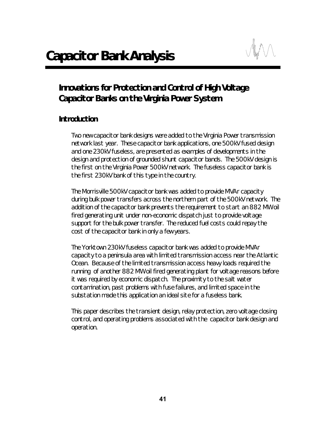# *Innovations for Protection and Control of High Voltage Capacitor Banks on the Virginia Power System*

# *Introduction*

Two new capacitor bank designs were added to the Virginia Power transmission network last year. These capacitor bank applications, one 500kV fused design and one 230kV fuseless, are presented as examples of developments in the design and protection of grounded shunt capacitor bands. The 500kV design is the first on the Virginia Power 500kV network. The fuseless capacitor bank is the first 230kV bank of this type in the country.

The Morrisville 500kV capacitor bank was added to provide MVAr capacity during bulk power transfers across the northern part of the 500kV network. The addition of the capacitor bank prevents the requirement to start an 882 MW oil fired generating unit under non-economic dispatch just to provide voltage support for the bulk power transfer. The reduced fuel costs could repay the cost of the capacitor bank in only a few years.

The Yorktown 230kV fuseless capacitor bank was added to provide MVAr capacity to a peninsula area with limited transmission access near the Atlantic Ocean. Because of the limited transmission access heavy loads required the running of another 882 MW oil fired generating plant for voltage reasons before it was required by economic dispatch. The proximity to the salt water contamination, past problems with fuse failures, and limited space in the substation made this application an ideal site for a fuseless bank.

This paper describes the transient design, relay protection, zero voltage closing control, and operating problems associated with the capacitor bank design and operation.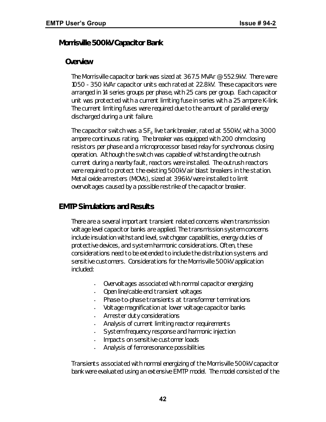## *Morrisville 500kV Capacitor Bank*

#### *Overview*

The Morrisville capacitor bank was sized at 367.5 MVAr @ 552.9kV. There were 1050 - 350 kVAr capacitor units each rated at 22.8kV. These capacitors were arranged in 14 series groups per phase, with 25 cans per group. Each capacitor unit was protected with a current limiting fuse in series with a 25 ampere K-link. The current limiting fuses were required due to the amount of parallel energy discharged during a unit failure.

The capacitor switch was a SF $_{\rm 6}$  live tank breaker, rated at 550kV, with a 3000 ampere continuous rating. The breaker was equipped with 200 ohm closing resistors per phase and a microprocessor based relay for synchronous closing operation. Although the switch was capable of withstanding the outrush current during a nearby fault, reactors were installed. The outrush reactors were required to protect the existing 500kV air blast breakers in the station. Metal oxide arresters (MOVs), sized at 396kV were installed to limit overvoltages caused by a possible restrike of the capacitor breaker.

# *EMTP Simulations and Results*

There are a several important transient related concerns when transmission voltage level capacitor banks are applied. The transmission system concerns include insulation withstand level, switchgear capabilities, energy duties of protective devices, and system harmonic considerations. Often, these considerations need to be extended to include the distribution systems and sensitive customers. Considerations for the Morrisville 500kV application included:

- Overvoltages associated with normal capacitor energizing
- Open line/cable end transient voltages
- Phase-to-phase transients at transformer terminations
- Voltage magnification at lower voltage capacitor banks
- Arrester duty considerations
- Analysis of current limiting reactor requirements
- System frequency response and harmonic injection
- Impacts on sensitive customer loads
- Analysis of ferroresonance possibilities

Transients associated with normal energizing of the Morrisville 500kV capacitor bank were evaluated using an extensive EMTP model. The model consisted of the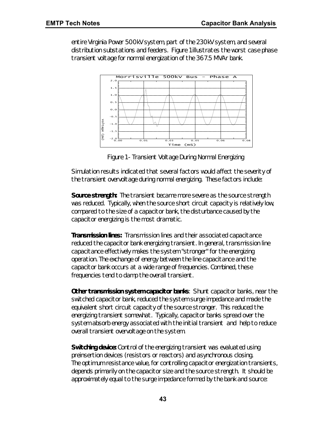entire Virginia Power 500kV system, part of the 230kV system, and several distribution substations and feeders. Figure 1 illustrates the worst case phase transient voltage for normal energization of the 367.5 MVAr bank.



*Figure 1 - Transient Voltage During Normal Energizing*

Simulation results indicated that several factors would affect the severity of the transient overvoltage during normal energizing. These factors include:

*Source strength:* The transient became more severe as the source strength was reduced. Typically, when the source short circuit capacity is relatively low, compared to the size of a capacitor bank, the disturbance caused by the capacitor energizing is the most dramatic.

*Transmission lines:* Transmission lines and their associated capacitance reduced the capacitor bank energizing transient. In general, transmission line capacitance effectively makes the system "stronger" for the energizing operation. The exchange of energy between the line capacitance and the capacitor bank occurs at a wide range of frequencies. Combined, these frequencies tend to damp the overall transient.

*Other transmission system capacitor banks*: Shunt capacitor banks, near the switched capacitor bank, reduced the system surge impedance and made the equivalent short circuit capacity of the source stronger. This reduced the energizing transient somewhat. Typically, capacitor banks spread over the system absorb energy associated with the initial transient and help to reduce overall transient overvoltage on the system.

**Switching device:** Control of the energizing transient was evaluated using preinsertion devices (resistors or reactors) and asynchronous closing. The optimum resistance value, for controlling capacitor energization transients, depends primarily on the capacitor size and the source strength. It should be approximately equal to the surge impedance formed by the bank and source: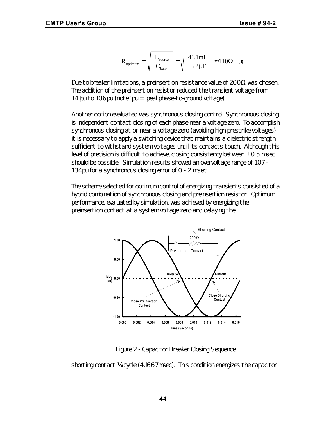$$
R_{\text{optimum}} = \sqrt{\frac{L_{\text{source}}}{C_{\text{bank}}}} = \sqrt{\frac{41.1 \text{mH}}{3.2 \mu\text{F}}} \approx 110 \Omega \quad (1)
$$

Due to breaker limitations, a preinsertion resistance value of  $200Ω$  was chosen. The addition of the preinsertion resistor reduced the transient voltage from 1.41pu to 1.06pu (note 1pu = peal phase-to-ground voltage).

Another option evaluated was synchronous closing control. Synchronous closing is independent contact closing of each phase near a voltage zero. To accomplish synchronous closing at or near a voltage zero (avoiding high prestrike voltages) it is necessary to apply a switching device that maintains a dielectric strength sufficient to withstand system voltages until its contacts touch. Although this level of precision is difficult to achieve, closing consistency between  $\pm$  0.5 msec should be possible. Simulation results showed an overvoltage range of 1.07 - 1.34pu for a synchronous closing error of 0 - 2 msec.

The scheme selected for optimum control of energizing transients consisted of a hybrid combination of synchronous closing and preinsertion resistor. Optimum performance, evaluated by simulation, was achieved by energizing the preinsertion contact at a system voltage zero and delaying the



Figure 2 - Capacitor Breaker Closing Sequence

shorting contact ¼ cycle (4.1667msec). This condition energizes the capacitor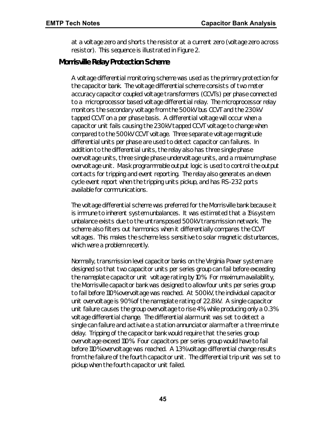at a voltage zero and shorts the resistor at a current zero (voltage zero across resistor). This sequence is illustrated in Figure 2.

#### *Morrisville Relay Protection Scheme*

A voltage differential monitoring scheme was used as the primary protection for the capacitor bank. The voltage differential scheme consists of two meter accuracy capacitor coupled voltage transformers (CCVTs) per phase connected to a microprocessor based voltage differential relay. The microprocessor relay monitors the secondary voltage from the 500kV bus CCVT and the 230kV tapped CCVT on a per phase basis. A differential voltage will occur when a capacitor unit fails causing the 230kV tapped CCVT voltage to change when compared to the 500kV CCVT voltage. Three separate voltage magnitude differential units per phase are used to detect capacitor can failures. In addition to the differential units, the relay also has three single phase overvoltage units, three single phase undervoltage units, and a maximum phase overvoltage unit. Mask programmable output logic is used to control the output contacts for tripping and event reporting. The relay also generates an eleven cycle event report when the tripping units pickup, and has RS-232 ports available for communications.

The voltage differential scheme was preferred for the Morrisville bank because it is immune to inherent system unbalances. It was estimated that a 1% system unbalance exists due to the untransposed 500kV transmission network. The scheme also filters out harmonics when it differentially compares the CCVT voltages. This makes the scheme less sensitive to solar magnetic disturbances, which were a problem recently.

Normally, transmission level capacitor banks on the Virginia Power system are designed so that two capacitor units per series group can fail before exceeding the nameplate capacitor unit voltage rating by 10%. For maximum availability, the Morrisville capacitor bank was designed to allow four units per series group to fail before 110% overvoltage was reached. At 500kV, the individual capacitor unit overvoltage is 90% of the nameplate rating of 22.8kV. A single capacitor unit failure causes the group overvoltage to rise 4%, while producing only a 0.3% voltage differential change. The differential alarm unit was set to detect a single can failure and activate a station annunciator alarm after a three minute delay. Tripping of the capacitor bank would require that the series group overvoltage exceed 110%. Four capacitors per series group would have to fail before 110% overvoltage was reached. A 1.3% voltage differential change results from the failure of the fourth capacitor unit. The differential trip unit was set to pickup when the fourth capacitor unit failed.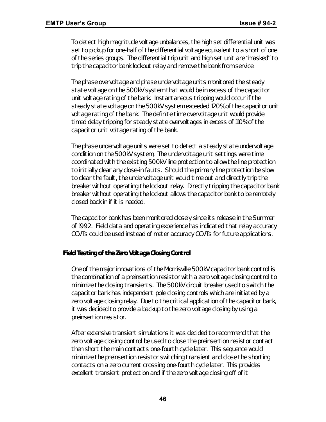To detect high magnitude voltage unbalances, the high set differential unit was set to pickup for one-half of the differential voltage equivalent to a short of one of the series groups. The differential trip unit and high set unit are "masked" to trip the capacitor bank lockout relay and remove the bank from service.

The phase overvoltage and phase undervoltage units monitored the steady state voltage on the 500kV system that would be in excess of the capacitor unit voltage rating of the bank. Instantaneous tripping would occur if the steady state voltage on the 500kV system exceeded 120% of the capacitor unit voltage rating of the bank. The definite time overvoltage unit would provide timed delay tripping for steady state overvoltages in excess of 110% of the capacitor unit voltage rating of the bank.

The phase undervoltage units were set to detect a steady state undervoltage condition on the 500kV system, The undervoltage unit settings were time coordinated with the existing 500kV line protection to allow the line protection to initially clear any close-in faults. Should the primary line protection be slow to clear the fault, the undervoltage unit would time out and directly trip the breaker without operating the lockout relay. Directly tripping the capacitor bank breaker without operating the lockout allows the capacitor bank to be remotely closed back in if it is needed.

The capacitor bank has been monitored closely since its release in the Summer of 1992. Field data and operating experience has indicated that relay accuracy CCVTs could be used instead of meter accuracy CCVTs for future applications.

#### *Field Testing of the Zero Voltage Closing Control*

One of the major innovations of the Morrisville 500kV capacitor bank control is the combination of a preinsertion resistor with a zero voltage closing control to minimize the closing transients. The 500kV circuit breaker used to switch the capacitor bank has independent pole closing controls which are initiated by a zero voltage closing relay. Due to the critical application of the capacitor bank, it was decided to provide a backup to the zero voltage closing by using a preinsertion resistor.

After extensive transient simulations it was decided to recommend that the zero voltage closing control be used to close the preinsertion resistor contact then short the main contacts one-fourth cycle later. This sequence would minimize the preinsertion resistor switching transient and close the shorting contacts on a zero current crossing one-fourth cycle later. This provides excellent transient protection and if the zero voltage closing off of it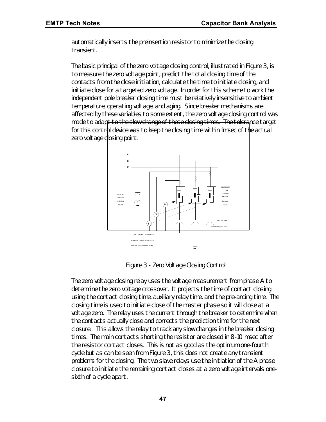automatically inserts the preinsertion resistor to minimize the closing transient.

The basic principal of the zero voltage closing control, illustrated in Figure 3, is to measure the zero voltage point, predict the total closing time of the contacts from the close initiation, calculate the time to initiate closing, and initiate close for a targeted zero voltage. In order for this scheme to work the independent pole breaker closing time must be relatively insensitive to ambient temperature, operating voltage, and aging. Since breaker mechanisms are affected by these variables to some extent, the zero voltage closing control was made to adapt to the slow change of these closing times. The tolerance target for this control device was to keep the closing time within 1msec of the actual zero voltage closing point.



*Figure 3 - Zero Voltage Closing Control*

The zero voltage closing relay uses the voltage measurement from phase A to determine the zero voltage crossover. It projects the time of contact closing using the contact closing time, auxiliary relay time, and the pre-arcing time. The closing time is used to initiate close of the master phase so it will close at a voltage zero. The relay uses the current through the breaker to determine when the contacts actually close and corrects the prediction time for the next closure. This allows the relay to track any slow changes in the breaker closing times. The main contacts shorting the resistor are closed in 8-10 msec after the resistor contact closes. This is not as good as the optimum one-fourth cycle but as can be seen from Figure 3, this does not create any transient problems for the closing. The two slave relays use the initiation of the A phase closure to initiate the remaining contact closes at a zero voltage intervals onesixth of a cycle apart.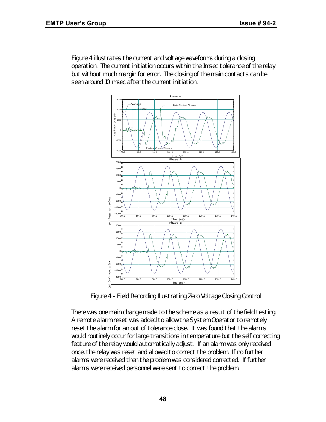Figure 4 illustrates the current and voltage waveforms during a closing operation. The current initiation occurs within the 1msec tolerance of the relay but without much margin for error. The closing of the main contacts can be seen around 10 msec after the current initiation.



*Figure 4 - Field Recording Illustrating Zero Voltage Closing Control*

There was one main change made to the scheme as a result of the field testing. A remote alarm reset was added to allow the System Operator to remotely reset the alarm for an out of tolerance close. It was found that the alarms would routinely occur for large transitions in temperature but the self correcting feature of the relay would automatically adjust. If an alarm was only received once, the relay was reset and allowed to correct the problem. If no further alarms were received then the problem was considered corrected. If further alarms were received personnel were sent to correct the problem.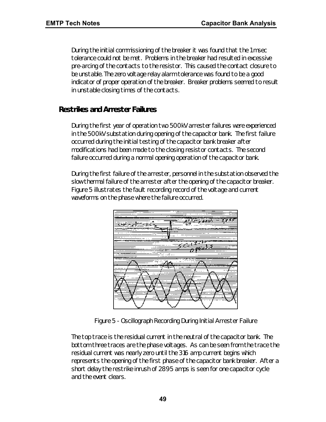During the initial commissioning of the breaker it was found that the 1 msec tolerance could not be met. Problems in the breaker had resulted in excessive pre-arcing of the contacts to the resistor. This caused the contact closure to be unstable. The zero voltage relay alarm tolerance was found to be a good indicator of proper operation of the breaker. Breaker problems seemed to result in unstable closing times of the contacts.

## *Restrikes and Arrester Failures*

During the first year of operation two 500kV arrester failures were experienced in the 500kV substation during opening of the capacitor bank. The first failure occurred during the initial testing of the capacitor bank breaker after modifications had been made to the closing resistor contacts. The second failure occurred during a normal opening operation of the capacitor bank.

During the first failure of the arrester, personnel in the substation observed the slow thermal failure of the arrester after the opening of the capacitor breaker. Figure 5 illustrates the fault recording record of the voltage and current waveforms on the phase where the failure occurred.



*Figure 5 - Oscillograph Recording During Initial Arrester Failure*

The top trace is the residual current in the neutral of the capacitor bank. The bottom three traces are the phase voltages. As can be seen from the trace the residual current was nearly zero until the 316 amp current begins which represents the opening of the first phase of the capacitor bank breaker. After a short delay the restrike inrush of 2895 amps is seen for one capacitor cycle and the event clears.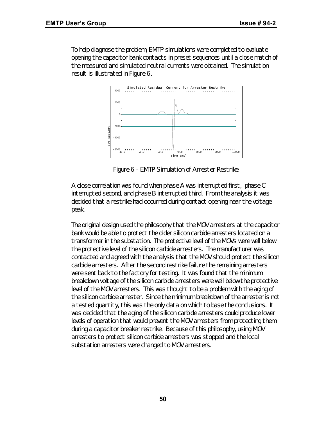To help diagnose the problem, EMTP simulations were completed to evaluate opening the capacitor bank contacts in preset sequences until a close match of the measured and simulated neutral currents were obtained. The simulation result is illustrated in Figure 6.



*Figure 6 - EMTP Simulation of Arrester Restrike*

A close correlation was found when phase A was interrupted first, phase C interrupted second, and phase B interrupted third. From the analysis it was decided that a restrike had occurred during contact opening near the voltage peak.

The original design used the philosophy that the MOV arresters at the capacitor bank would be able to protect the older silicon carbide arresters located on a transformer in the substation. The protective level of the MOVs were well below the protective level of the silicon carbide arresters. The manufacturer was contacted and agreed with the analysis that the MOV should protect the silicon carbide arresters. After the second restrike failure the remaining arresters were sent back to the factory for testing. It was found that the minimum breakdown voltage of the silicon carbide arresters were well below the protective level of the MOV arresters. This was thought to be a problem with the aging of the silicon carbide arrester. Since the minimum breakdown of the arrester is not a tested quantity, this was the only data on which to base the conclusions. It was decided that the aging of the silicon carbide arresters could produce lower levels of operation that would prevent the MOV arresters from protecting them during a capacitor breaker restrike. Because of this philosophy, using MOV arresters to protect silicon carbide arresters was stopped and the local substation arresters were changed to MOV arresters.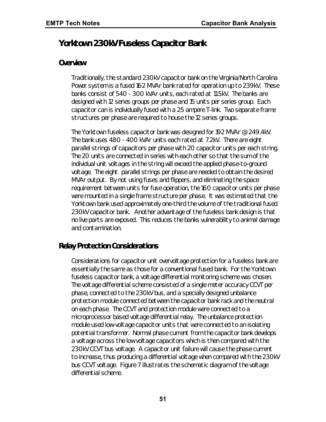# *Yorktown 230kV Fuseless Capacitor Bank*

#### *Overview*

Traditionally, the standard 230kV capacitor bank on the Virginia/North Carolina Power system is a fused 162 MVAr bank rated for operation up to 239kV. These banks consist of 540 - 300 kVAr units, each rated at 11.5kV. The banks are designed with 12 series groups per phase and 15 units per series group. Each capacitor can is individually fused with a 25 ampere T-link. Two separate frame structures per phase are required to house the 12 series groups.

The Yorktown fuseless capacitor bank was designed for 192 MVAr @ 249.4kV. The bank uses 480 - 400 kVAr units each rated at 7.2kV. There are eight parallel strings of capacitors per phase with 20 capacitor units per each string. The 20 units are connected in series with each other so that the sum of the individual unit voltages in the string will exceed the applied phase-to-ground voltage. The eight parallel strings per phase are needed to obtain the desired MVAr output. By not using fuses and flippers, and eliminating the space requirement between units for fuse operation, the 160 capacitor units per phase were mounted in a single frame structure per phase. It was estimated that the Yorktown bank used approximately one-third the volume of the traditional fused 230kV capacitor bank. Another advantage of the fuseless bank design is that no live parts are exposed. This reduces the banks vulnerability to animal damage and contamination.

# *Relay Protection Considerations*

Considerations for capacitor unit overvoltage protection for a fuseless bank are essentially the same as those for a conventional fused bank. For the Yorktown fuseless capacitor bank, a voltage differential monitoring scheme was chosen. The voltage differential scheme consisted of a single meter accuracy CCVT per phase, connected to the 230kV bus, and a specially designed unbalance protection module connected between the capacitor bank rack and the neutral on each phase. The CCVT and protection module were connected to a microprocessor based voltage differential relay. The unbalance protection module used low-voltage capacitor units that were connected to an isolating potential transformer. Normal phase current from the capacitor bank develops a voltage across the low voltage capacitors which is then compared with the 230kV CCVT bus voltage. A capacitor unit failure will cause the phase current to increase, thus producing a differential voltage when compared with the 230kV bus CCVT voltage. Figure 7 illustrates the schematic diagram of the voltage differential scheme.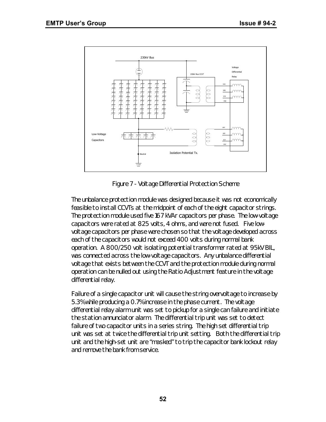

*Figure 7 - Voltage Differential Protection Scheme*

The unbalance protection module was designed because it was not economically feasible to install CCVTs at the midpoint of each of the eight capacitor strings. The protection module used five 167 kVAr capacitors per phase. The low-voltage capacitors were rated at 825 volts, 4 ohms, and were not fused. Five lowvoltage capacitors per phase were chosen so that the voltage developed across each of the capacitors would not exceed 400 volts during normal bank operation. A 800/250 volt isolating potential transformer rated at 95kV BIL, was connected across the low-voltage capacitors. Any unbalance differential voltage that exists between the CCVT and the protection module during normal operation can be nulled out using the Ratio Adjustment feature in the voltage differential relay.

Failure of a single capacitor unit will cause the string overvoltage to increase by 5.3% while producing a 0.7% increase in the phase current. The voltage differential relay alarm unit was set to pickup for a single can failure and initiate the station annunciator alarm. The differential trip unit was set to detect failure of two capacitor units in a series string. The high set differential trip unit was set at twice the differential trip unit setting. Both the differential trip unit and the high-set unit are "masked" to trip the capacitor bank lockout relay and remove the bank from service.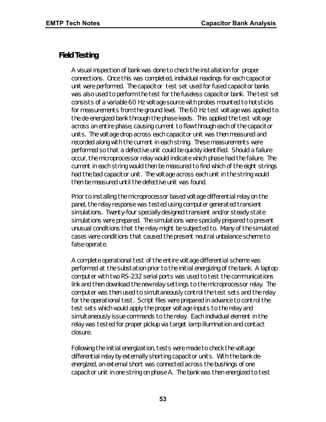### *Field Testing*

A visual inspection of bank was done to check the installation for proper connections. Once this was completed, individual readings for each capacitor unit were performed. The capacitor test set used for fused capacitor banks was also used to perform the test for the fuseless capacitor bank. The test set consists of a variable 60 Hz voltage source with probes mounted to hotsticks for measurements from the ground level. The 60 Hz test voltage was applied to the de-energized bank through the phase leads. This applied the test voltage across an entire phase, causing current to flow through each of the capacitor units. The voltage drop across each capacitor unit was then measured and recorded along with the current in each string. These measurements were performed so that a defective unit could be quickly identified. Should a failure occur, the microprocessor relay would indicate which phase had the failure. The current in each string would then be measured to find which of the eight strings had the bad capacitor unit. The voltage across each unit in the string would then be measured until the defective unit was found.

Prior to installing the microprocessor based voltage differential relay on the panel, the relay response was tested using computer generated transient simulations. Twenty-four specially designed transient and/or steady state simulations were prepared. The simulations were specially prepared to present unusual conditions that the relay might be subjected to. Many of the simulated cases were conditions that caused the present neutral unbalance scheme to false operate.

A complete operational test of the entire voltage differential scheme was performed at the substation prior to the initial energizing of the bank. A laptop computer with two RS-232 serial ports was used to test the communications link and then download the new relay settings to the microprocessor relay. The computer was then used to simultaneously control the test sets and the relay for the operational test. Script files were prepared in advance to control the test sets which would apply the proper voltage inputs to the relay and simultaneously issue commands to the relay. Each individual element in the relay was tested for proper pickup via target lamp illumination and contact closure.

Following the initial energization, tests were made to check the voltage differential relay by externally shorting capacitor units. With the bank deenergized, an external short was connected across the bushings of one capacitor unit in one string on phase A. The bank was then energized to test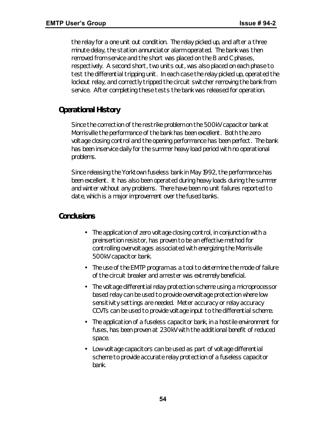the relay for a one unit out condition. The relay picked up, and after a three minute delay, the station annunciator alarm operated. The bank was then removed from service and the short was placed on the B and C phases, respectively. A second short, two units out, was also placed on each phase to test the differential tripping unit. In each case the relay picked up, operated the lockout relay, and correctly tripped the circuit switcher removing the bank from service. After completing these tests the bank was released for operation.

# *Operational History*

Since the correction of the restrike problem on the 500kV capacitor bank at Morrisville the performance of the bank has been excellent. Both the zero voltage closing control and the opening performance has been perfect. The bank has been inservice daily for the summer heavy load period with no operational problems.

Since releasing the Yorktown fuseless bank in May 1992, the performance has been excellent. It has also been operated during heavy loads during the summer and winter without any problems. There have been no unit failures reported to date, which is a major improvement over the fused banks.

#### *Conclusions*

- The application of zero voltage closing control, in conjunction with a preinsertion resistor, has proven to be an effective method for controlling overvoltages associated with energizing the Morrisville 500kV capacitor bank.
- The use of the EMTP program as a tool to determine the mode of failure of the circuit breaker and arrester was extremely beneficial.
- The voltage differential relay protection scheme using a microprocessor based relay can be used to provide overvoltage protection where low sensitivity settings are needed. Meter accuracy or relay accuracy CCVTs can be used to provide voltage input to the differential scheme.
- The application of a fuseless capacitor bank, in a hostile environment for fuses, has been proven at 230kV with the additional benefit of reduced space.
- Low-voltage capacitors can be used as part of voltage differential scheme to provide accurate relay protection of a fuseless capacitor bank.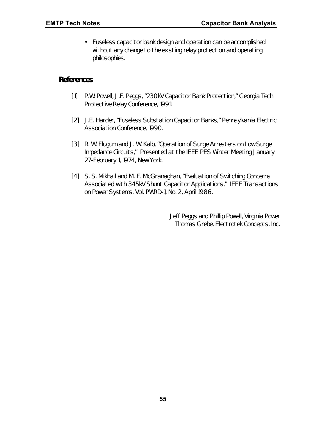• Fuseless capacitor bank design and operation can be accomplished without any change to the existing relay protection and operating philosophies.

#### *References*

- [1] P.W. Powell, J.F. Peggs, "230kV Capacitor Bank Protection," *Georgia Tech Protective Relay Conference, 1991.*
- [2] J.E. Harder, "Fuseless Substation Capacitor Banks," *Pennsylvania Electric Association Conference, 1990.*
- [3] R. W. Flugum and J. W. Kalb, "Operation of Surge Arresters on Low Surge Impedance Circuits," Presented at the *IEEE PES Winter Meeting* January 27-February 1, 1974, New York.
- [4] S. S. Mikhail and M. F. McGranaghan, "Evaluation of Switching Concerns Associated with 345kV Shunt Capacitor Applications," *IEEE Transactions on Power Systems*, Vol. PWRD-1, No. 2, April 1986.

*Jeff Peggs and Phillip Powell, Virginia Power Thomas Grebe, Electrotek Concepts, Inc.*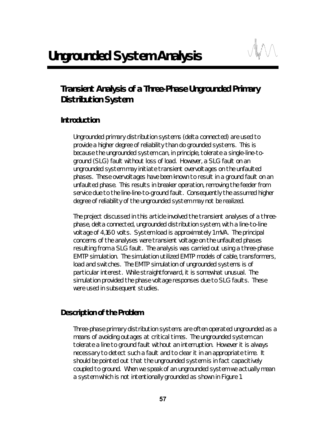

# *Transient Analysis of a Three-Phase Ungrounded Primary Distribution System*

# *Introduction*

Ungrounded primary distribution systems (delta connected) are used to provide a higher degree of reliability than do grounded systems. This is because the ungrounded system can, in principle, tolerate a single-line-toground (SLG) fault without loss of load. However, a SLG fault on an ungrounded system may initiate transient overvoltages on the unfaulted phases. These overvoltages have been known to result in a ground fault on an unfaulted phase. This results in breaker operation, removing the feeder from service due to the line-line-to-ground fault. Consequently the assumed higher degree of reliability of the ungrounded system may not be realized.

The project discussed in this article involved the transient analyses of a threephase, delta connected, ungrounded distribution system, with a line-to-line voltage of 4,160 volts. System load is approximately 1 mVA. The principal concerns of the analyses were transient voltage on the unfaulted phases resulting from a SLG fault. The analysis was carried out using a three-phase EMTP simulation. The simulation utilized EMTP models of cable, transformers, load and switches. The EMTP simulation of ungrounded systems is of particular interest. While straightforward, it is somewhat unusual. The simulation provided the phase voltage responses due to SLG faults. These were used in subsequent studies.

# *Description of the Problem*

Three-phase primary distribution systems are often operated ungrounded as a means of avoiding outages at critical times. The ungrounded system can tolerate a line to ground fault without an interruption. However it is always necessary to detect such a fault and to clear it in an appropriate time. It should be pointed out that the ungrounded system is in fact capacitively coupled to ground. When we speak of an ungrounded system we actually mean a system which is not intentionally grounded as shown in Figure 1.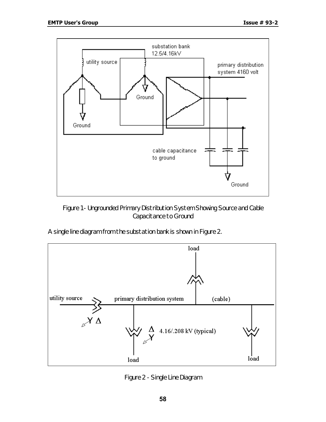

*Figure 1 - Ungrounded Primary Distribution System Showing Source and Cable Capacitance to Ground*

A single line diagram from the substation bank is shown in Figure 2.



*Figure 2 - Single Line Diagram*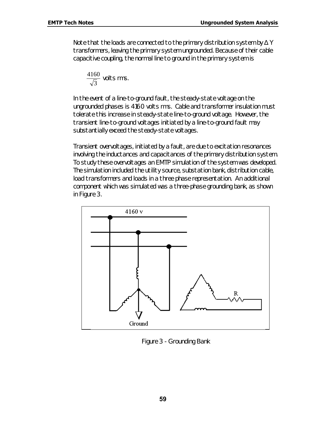Note that the loads are connected to the primary distribution system by  $\Delta$  Y transformers, leaving the primary system ungrounded. Because of their cable capacitive coupling, the normal line to ground in the primary system is

$$
\frac{4160}{\sqrt{3}}
$$
 volts rms.

In the event of a line-to-ground fault, the steady-state voltage on the ungrounded phases is 4160 volts rms. Cable and transformer insulation must tolerate this increase in steady-state line-to-ground voltage. However, the transient line-to-ground voltages initiated by a line-to-ground fault may substantially exceed the steady-state voltages.

Transient overvoltages, initiated by a fault, are due to excitation resonances involving the inductances and capacitances of the primary distribution system. To study these overvoltages an EMTP simulation of the system was developed. The simulation included the utility source, substation bank, distribution cable, load transformers and loads in a three phase representation. An additional component which was simulated was a three-phase grounding bank, as shown in Figure 3.



*Figure 3 - Grounding Bank*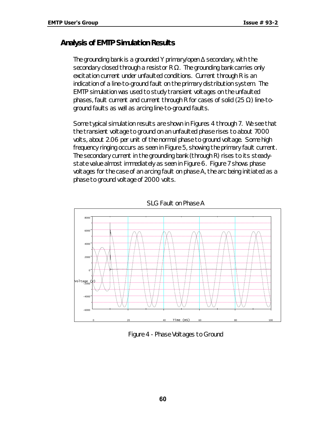#### *Analysis of EMTP Simulation Results*

The grounding bank is a grounded Y primary/open  $\Delta$  secondary, with the secondary closed through a resistor R  $\Omega$ . The grounding bank carries only excitation current under unfaulted conditions. Current through R is an indication of a line-to-ground fault on the primary distribution system. The EMTP simulation was used to study transient voltages on the unfaulted phases, fault current and current through R for cases of solid (25  $\Omega$ ) line-toground faults as well as arcing line-to-ground faults.

Some typical simulation results are shown in Figures 4 through 7. We see that the transient voltage to ground on an unfaulted phase rises to about 7000 volts, about 2.06 per unit of the normal phase to ground voltage. Some high frequency ringing occurs as seen in Figure 5, showing the primary fault current. The secondary current in the grounding bank (through R) rises to its steadystate value almost immediately as seen in Figure 6. Figure 7 shows phase voltages for the case of an arcing fault on phase A, the arc being initiated as a phase to ground voltage of 2000 volts.



*SLG Fault on Phase A*

*Figure 4 - Phase Voltages to Ground*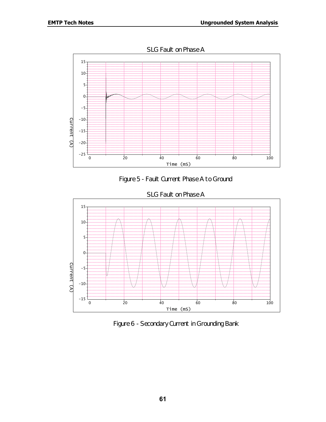





*Figure 6 - Secondary Current in Grounding Bank*